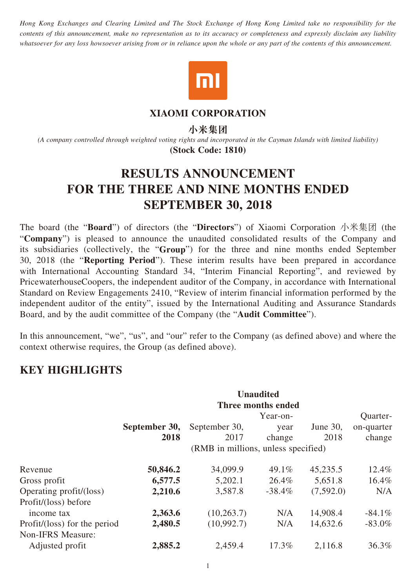*Hong Kong Exchanges and Clearing Limited and The Stock Exchange of Hong Kong Limited take no responsibility for the contents of this announcement, make no representation as to its accuracy or completeness and expressly disclaim any liability whatsoever for any loss howsoever arising from or in reliance upon the whole or any part of the contents of this announcement.*



## **XIAOMI CORPORATION**

**小米集團**

*(A company controlled through weighted voting rights and incorporated in the Cayman Islands with limited liability)* **(Stock Code: 1810)**

# **RESULTS ANNOUNCEMENT FOR THE THREE AND NINE MONTHS ENDED SEPTEMBER 30, 2018**

The board (the "**Board**") of directors (the "**Directors**") of Xiaomi Corporation 小米集团 (the "**Company**") is pleased to announce the unaudited consolidated results of the Company and its subsidiaries (collectively, the "**Group**") for the three and nine months ended September 30, 2018 (the "**Reporting Period**"). These interim results have been prepared in accordance with International Accounting Standard 34, "Interim Financial Reporting", and reviewed by PricewaterhouseCoopers, the independent auditor of the Company, in accordance with International Standard on Review Engagements 2410, "Review of interim financial information performed by the independent auditor of the entity", issued by the International Auditing and Assurance Standards Board, and by the audit committee of the Company (the "**Audit Committee**").

In this announcement, "we", "us", and "our" refer to the Company (as defined above) and where the context otherwise requires, the Group (as defined above).

# **KEY HIGHLIGHTS**

|                              | <b>Unaudited</b><br>Three months ended |                                     |           |             |            |  |
|------------------------------|----------------------------------------|-------------------------------------|-----------|-------------|------------|--|
|                              |                                        |                                     | Year-on-  |             | Quarter-   |  |
|                              | September 30,                          | September 30,                       | year      | June $30$ , | on-quarter |  |
|                              | 2018                                   | 2017                                | change    | 2018        | change     |  |
|                              |                                        | (RMB in millions, unless specified) |           |             |            |  |
| Revenue                      | 50,846.2                               | 34,099.9                            | $49.1\%$  | 45,235.5    | 12.4%      |  |
| Gross profit                 | 6,577.5                                | 5,202.1                             | 26.4%     | 5,651.8     | 16.4%      |  |
| Operating profit/(loss)      | 2,210.6                                | 3,587.8                             | $-38.4\%$ | (7,592.0)   | N/A        |  |
| Profit/(loss) before         |                                        |                                     |           |             |            |  |
| income tax                   | 2,363.6                                | (10, 263.7)                         | N/A       | 14,908.4    | $-84.1\%$  |  |
| Profit/(loss) for the period | 2,480.5                                | (10,992.7)                          | N/A       | 14,632.6    | $-83.0\%$  |  |
| Non-IFRS Measure:            |                                        |                                     |           |             |            |  |
| Adjusted profit              | 2,885.2                                | 2,459.4                             | 17.3%     | 2,116.8     | 36.3%      |  |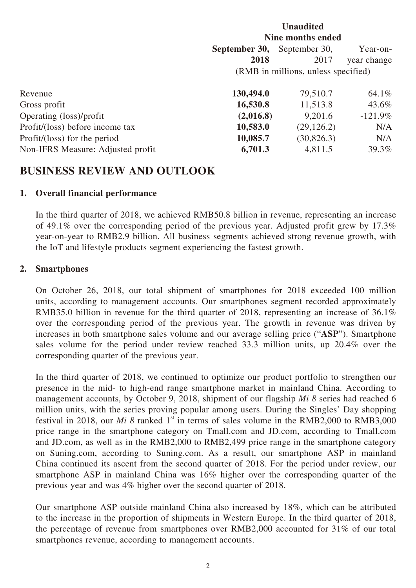|                                   | <b>Unaudited</b><br>Nine months ended      |             |             |  |
|-----------------------------------|--------------------------------------------|-------------|-------------|--|
|                                   | September 30,<br>September 30,<br>Year-on- |             |             |  |
|                                   | 2018                                       | 2017        | year change |  |
|                                   | (RMB in millions, unless specified)        |             |             |  |
| Revenue                           | 130,494.0                                  | 79,510.7    | 64.1%       |  |
| Gross profit                      | 16,530.8                                   | 11,513.8    | 43.6%       |  |
| Operating (loss)/profit           | (2,016.8)                                  | 9,201.6     | $-121.9\%$  |  |
| Profit/(loss) before income tax   | 10,583.0                                   | (29, 126.2) | N/A         |  |
| Profit/(loss) for the period      | 10,085.7                                   | (30, 826.3) | N/A         |  |
| Non-IFRS Measure: Adjusted profit | 6,701.3                                    | 4,811.5     | 39.3%       |  |

# **BUSINESS REVIEW AND OUTLOOK**

# **1. Overall financial performance**

In the third quarter of 2018, we achieved RMB50.8 billion in revenue, representing an increase of 49.1% over the corresponding period of the previous year. Adjusted profit grew by 17.3% year-on-year to RMB2.9 billion. All business segments achieved strong revenue growth, with the IoT and lifestyle products segment experiencing the fastest growth.

# **2. Smartphones**

On October 26, 2018, our total shipment of smartphones for 2018 exceeded 100 million units, according to management accounts. Our smartphones segment recorded approximately RMB35.0 billion in revenue for the third quarter of 2018, representing an increase of 36.1% over the corresponding period of the previous year. The growth in revenue was driven by increases in both smartphone sales volume and our average selling price ("**ASP**"). Smartphone sales volume for the period under review reached 33.3 million units, up 20.4% over the corresponding quarter of the previous year.

In the third quarter of 2018, we continued to optimize our product portfolio to strengthen our presence in the mid- to high-end range smartphone market in mainland China. According to management accounts, by October 9, 2018, shipment of our flagship *Mi 8* series had reached 6 million units, with the series proving popular among users. During the Singles' Day shopping festival in 2018, our *Mi 8* ranked  $1<sup>st</sup>$  in terms of sales volume in the RMB2,000 to RMB3,000 price range in the smartphone category on Tmall.com and JD.com, according to Tmall.com and JD.com, as well as in the RMB2,000 to RMB2,499 price range in the smartphone category on Suning.com, according to Suning.com. As a result, our smartphone ASP in mainland China continued its ascent from the second quarter of 2018. For the period under review, our smartphone ASP in mainland China was  $16\%$  higher over the corresponding quarter of the previous year and was 4% higher over the second quarter of 2018.

Our smartphone ASP outside mainland China also increased by 18%, which can be attributed to the increase in the proportion of shipments in Western Europe. In the third quarter of 2018, the percentage of revenue from smartphones over RMB2,000 accounted for 31% of our total smartphones revenue, according to management accounts.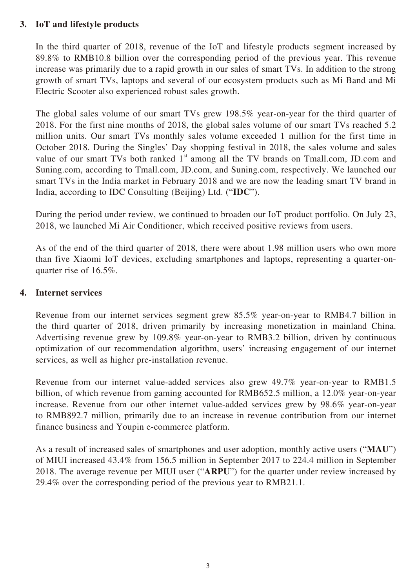# **3. IoT and lifestyle products**

In the third quarter of 2018, revenue of the IoT and lifestyle products segment increased by 89.8% to RMB10.8 billion over the corresponding period of the previous year. This revenue increase was primarily due to a rapid growth in our sales of smart TVs. In addition to the strong growth of smart TVs, laptops and several of our ecosystem products such as Mi Band and Mi Electric Scooter also experienced robust sales growth.

The global sales volume of our smart TVs grew 198.5% year-on-year for the third quarter of 2018. For the first nine months of 2018, the global sales volume of our smart TVs reached 5.2 million units. Our smart TVs monthly sales volume exceeded 1 million for the first time in October 2018. During the Singles' Day shopping festival in 2018, the sales volume and sales value of our smart TVs both ranked  $1<sup>st</sup>$  among all the TV brands on Tmall.com, JD.com and Suning.com, according to Tmall.com, JD.com, and Suning.com, respectively. We launched our smart TVs in the India market in February 2018 and we are now the leading smart TV brand in India, according to IDC Consulting (Beijing) Ltd. ("**IDC**").

During the period under review, we continued to broaden our IoT product portfolio. On July 23, 2018, we launched Mi Air Conditioner, which received positive reviews from users.

As of the end of the third quarter of 2018, there were about 1.98 million users who own more than five Xiaomi IoT devices, excluding smartphones and laptops, representing a quarter-onquarter rise of 16.5%.

#### **4. Internet services**

Revenue from our internet services segment grew 85.5% year-on-year to RMB4.7 billion in the third quarter of 2018, driven primarily by increasing monetization in mainland China. Advertising revenue grew by 109.8% year-on-year to RMB3.2 billion, driven by continuous optimization of our recommendation algorithm, users' increasing engagement of our internet services, as well as higher pre-installation revenue.

Revenue from our internet value-added services also grew 49.7% year-on-year to RMB1.5 billion, of which revenue from gaming accounted for RMB652.5 million, a 12.0% year-on-year increase. Revenue from our other internet value-added services grew by 98.6% year-on-year to RMB892.7 million, primarily due to an increase in revenue contribution from our internet finance business and Youpin e-commerce platform.

As a result of increased sales of smartphones and user adoption, monthly active users ("**MAU**") of MIUI increased 43.4% from 156.5 million in September 2017 to 224.4 million in September 2018. The average revenue per MIUI user ("**ARPU**") for the quarter under review increased by 29.4% over the corresponding period of the previous year to RMB21.1.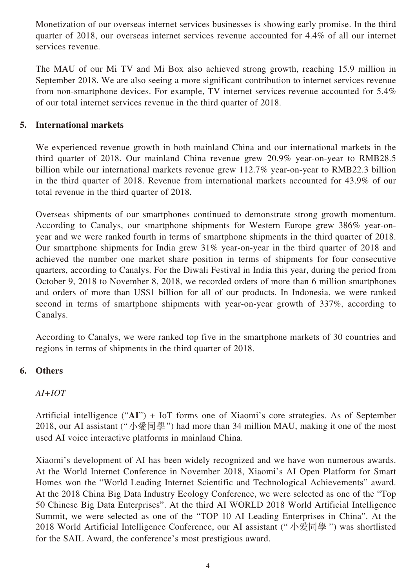Monetization of our overseas internet services businesses is showing early promise. In the third quarter of 2018, our overseas internet services revenue accounted for 4.4% of all our internet services revenue.

The MAU of our Mi TV and Mi Box also achieved strong growth, reaching 15.9 million in September 2018. We are also seeing a more significant contribution to internet services revenue from non-smartphone devices. For example, TV internet services revenue accounted for 5.4% of our total internet services revenue in the third quarter of 2018.

# **5. International markets**

We experienced revenue growth in both mainland China and our international markets in the third quarter of 2018. Our mainland China revenue grew 20.9% year-on-year to RMB28.5 billion while our international markets revenue grew 112.7% year-on-year to RMB22.3 billion in the third quarter of 2018. Revenue from international markets accounted for 43.9% of our total revenue in the third quarter of 2018.

Overseas shipments of our smartphones continued to demonstrate strong growth momentum. According to Canalys, our smartphone shipments for Western Europe grew 386% year-onyear and we were ranked fourth in terms of smartphone shipments in the third quarter of 2018. Our smartphone shipments for India grew 31% year-on-year in the third quarter of 2018 and achieved the number one market share position in terms of shipments for four consecutive quarters, according to Canalys. For the Diwali Festival in India this year, during the period from October 9, 2018 to November 8, 2018, we recorded orders of more than 6 million smartphones and orders of more than US\$1 billion for all of our products. In Indonesia, we were ranked second in terms of smartphone shipments with year-on-year growth of 337%, according to Canalys.

According to Canalys, we were ranked top five in the smartphone markets of 30 countries and regions in terms of shipments in the third quarter of 2018.

# **6. Others**

# *AI+IOT*

Artificial intelligence ("**AI**") + IoT forms one of Xiaomi's core strategies. As of September 2018, our AI assistant ("小愛同學") had more than 34 million MAU, making it one of the most used AI voice interactive platforms in mainland China.

Xiaomi's development of AI has been widely recognized and we have won numerous awards. At the World Internet Conference in November 2018, Xiaomi's AI Open Platform for Smart Homes won the "World Leading Internet Scientific and Technological Achievements" award. At the 2018 China Big Data Industry Ecology Conference, we were selected as one of the "Top 50 Chinese Big Data Enterprises". At the third AI WORLD 2018 World Artificial Intelligence Summit, we were selected as one of the "TOP 10 AI Leading Enterprises in China". At the 2018 World Artificial Intelligence Conference, our AI assistant ("小愛同學") was shortlisted for the SAIL Award, the conference's most prestigious award.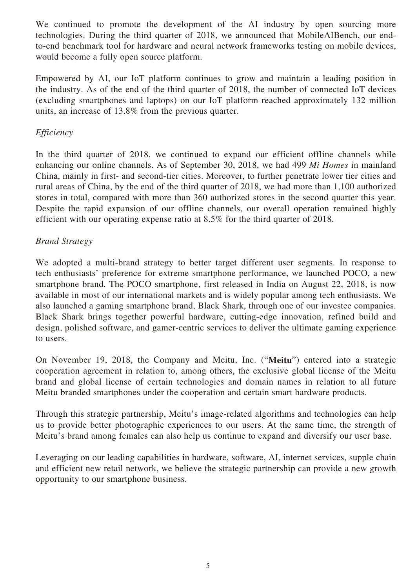We continued to promote the development of the AI industry by open sourcing more technologies. During the third quarter of 2018, we announced that MobileAIBench, our endto-end benchmark tool for hardware and neural network frameworks testing on mobile devices, would become a fully open source platform.

Empowered by AI, our IoT platform continues to grow and maintain a leading position in the industry. As of the end of the third quarter of 2018, the number of connected IoT devices (excluding smartphones and laptops) on our IoT platform reached approximately 132 million units, an increase of 13.8% from the previous quarter.

# *Efficiency*

In the third quarter of 2018, we continued to expand our efficient offline channels while enhancing our online channels. As of September 30, 2018, we had 499 *Mi Homes* in mainland China, mainly in first- and second-tier cities. Moreover, to further penetrate lower tier cities and rural areas of China, by the end of the third quarter of 2018, we had more than 1,100 authorized stores in total, compared with more than 360 authorized stores in the second quarter this year. Despite the rapid expansion of our offline channels, our overall operation remained highly efficient with our operating expense ratio at 8.5% for the third quarter of 2018.

# *Brand Strategy*

We adopted a multi-brand strategy to better target different user segments. In response to tech enthusiasts' preference for extreme smartphone performance, we launched POCO, a new smartphone brand. The POCO smartphone, first released in India on August 22, 2018, is now available in most of our international markets and is widely popular among tech enthusiasts. We also launched a gaming smartphone brand, Black Shark, through one of our investee companies. Black Shark brings together powerful hardware, cutting-edge innovation, refined build and design, polished software, and gamer-centric services to deliver the ultimate gaming experience to users.

On November 19, 2018, the Company and Meitu, Inc. ("**Meitu**") entered into a strategic cooperation agreement in relation to, among others, the exclusive global license of the Meitu brand and global license of certain technologies and domain names in relation to all future Meitu branded smartphones under the cooperation and certain smart hardware products.

Through this strategic partnership, Meitu's image-related algorithms and technologies can help us to provide better photographic experiences to our users. At the same time, the strength of Meitu's brand among females can also help us continue to expand and diversify our user base.

Leveraging on our leading capabilities in hardware, software, AI, internet services, supple chain and efficient new retail network, we believe the strategic partnership can provide a new growth opportunity to our smartphone business.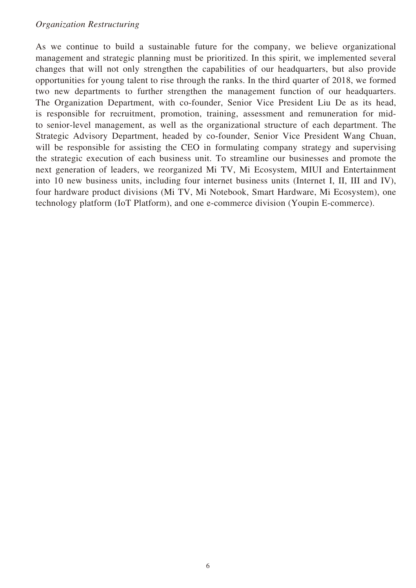As we continue to build a sustainable future for the company, we believe organizational management and strategic planning must be prioritized. In this spirit, we implemented several changes that will not only strengthen the capabilities of our headquarters, but also provide opportunities for young talent to rise through the ranks. In the third quarter of 2018, we formed two new departments to further strengthen the management function of our headquarters. The Organization Department, with co-founder, Senior Vice President Liu De as its head, is responsible for recruitment, promotion, training, assessment and remuneration for midto senior-level management, as well as the organizational structure of each department. The Strategic Advisory Department, headed by co-founder, Senior Vice President Wang Chuan, will be responsible for assisting the CEO in formulating company strategy and supervising the strategic execution of each business unit. To streamline our businesses and promote the next generation of leaders, we reorganized Mi TV, Mi Ecosystem, MIUI and Entertainment into 10 new business units, including four internet business units (Internet I, II, III and IV), four hardware product divisions (Mi TV, Mi Notebook, Smart Hardware, Mi Ecosystem), one technology platform (IoT Platform), and one e-commerce division (Youpin E-commerce).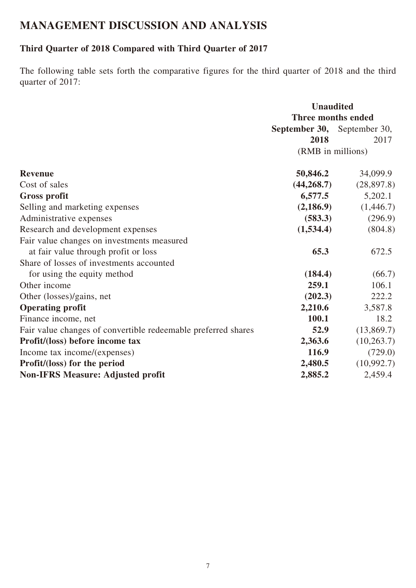# **MANAGEMENT DISCUSSION AND ANALYSIS**

# **Third Quarter of 2018 Compared with Third Quarter of 2017**

The following table sets forth the comparative figures for the third quarter of 2018 and the third quarter of 2017:

|                                                               | <b>Unaudited</b>                   |             |
|---------------------------------------------------------------|------------------------------------|-------------|
|                                                               | <b>Three months ended</b>          |             |
|                                                               | <b>September 30,</b> September 30, |             |
|                                                               | 2018                               | 2017        |
|                                                               | (RMB in millions)                  |             |
| <b>Revenue</b>                                                | 50,846.2                           | 34,099.9    |
| Cost of sales                                                 | (44, 268.7)                        | (28, 897.8) |
| <b>Gross profit</b>                                           | 6,577.5                            | 5,202.1     |
| Selling and marketing expenses                                | (2,186.9)                          | (1,446.7)   |
| Administrative expenses                                       | (583.3)                            | (296.9)     |
| Research and development expenses                             | (1,534.4)                          | (804.8)     |
| Fair value changes on investments measured                    |                                    |             |
| at fair value through profit or loss                          | 65.3                               | 672.5       |
| Share of losses of investments accounted                      |                                    |             |
| for using the equity method                                   | (184.4)                            | (66.7)      |
| Other income                                                  | 259.1                              | 106.1       |
| Other (losses)/gains, net                                     | (202.3)                            | 222.2       |
| <b>Operating profit</b>                                       | 2,210.6                            | 3,587.8     |
| Finance income, net                                           | 100.1                              | 18.2        |
| Fair value changes of convertible redeemable preferred shares | 52.9                               | (13,869.7)  |
| Profit/(loss) before income tax                               | 2,363.6                            | (10, 263.7) |
| Income tax income/(expenses)                                  | 116.9                              | (729.0)     |
| Profit/(loss) for the period                                  | 2,480.5                            | (10,992.7)  |
| <b>Non-IFRS Measure: Adjusted profit</b>                      | 2,885.2                            | 2,459.4     |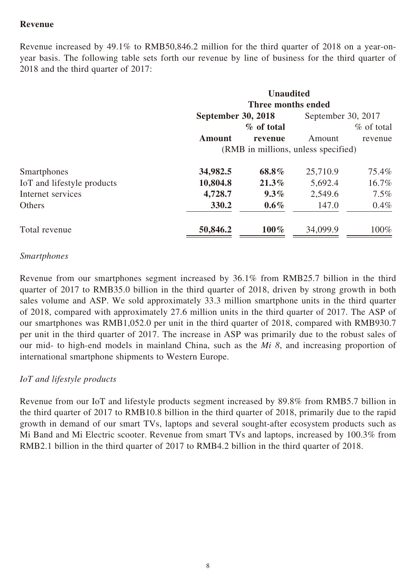# **Revenue**

Revenue increased by 49.1% to RMB50,846.2 million for the third quarter of 2018 on a year-onyear basis. The following table sets forth our revenue by line of business for the third quarter of 2018 and the third quarter of 2017:

|                            |                                     | <b>Unaudited</b><br>Three months ended |                    |              |
|----------------------------|-------------------------------------|----------------------------------------|--------------------|--------------|
|                            | <b>September 30, 2018</b>           |                                        | September 30, 2017 |              |
|                            |                                     | $\%$ of total                          |                    | $%$ of total |
|                            | <b>Amount</b>                       | revenue                                | Amount             | revenue      |
|                            | (RMB in millions, unless specified) |                                        |                    |              |
| Smartphones                | 34,982.5                            | 68.8%                                  | 25,710.9           | 75.4%        |
| IoT and lifestyle products | 10,804.8                            | $21.3\%$                               | 5,692.4            | 16.7%        |
| Internet services          | 4,728.7                             | $9.3\%$                                | 2,549.6            | $7.5\%$      |
| Others                     | 330.2                               | $0.6\%$                                | 147.0              | $0.4\%$      |
| Total revenue              | 50,846.2                            | $100\%$                                | 34,099.9           | 100%         |

#### *Smartphones*

Revenue from our smartphones segment increased by 36.1% from RMB25.7 billion in the third quarter of 2017 to RMB35.0 billion in the third quarter of 2018, driven by strong growth in both sales volume and ASP. We sold approximately 33.3 million smartphone units in the third quarter of 2018, compared with approximately 27.6 million units in the third quarter of 2017. The ASP of our smartphones was RMB1,052.0 per unit in the third quarter of 2018, compared with RMB930.7 per unit in the third quarter of 2017. The increase in ASP was primarily due to the robust sales of our mid- to high-end models in mainland China, such as the *Mi 8*, and increasing proportion of international smartphone shipments to Western Europe.

### *IoT and lifestyle products*

Revenue from our IoT and lifestyle products segment increased by 89.8% from RMB5.7 billion in the third quarter of 2017 to RMB10.8 billion in the third quarter of 2018, primarily due to the rapid growth in demand of our smart TVs, laptops and several sought-after ecosystem products such as Mi Band and Mi Electric scooter. Revenue from smart TVs and laptops, increased by 100.3% from RMB2.1 billion in the third quarter of 2017 to RMB4.2 billion in the third quarter of 2018.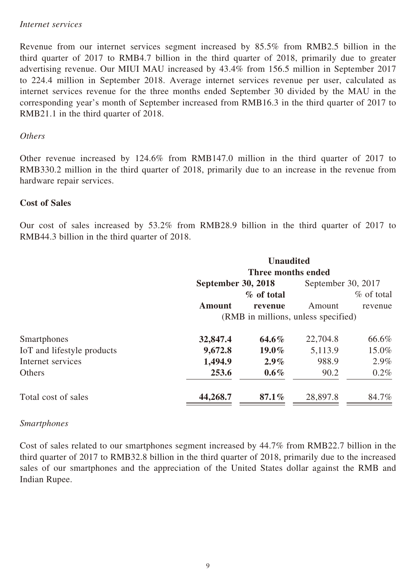#### *Internet services*

Revenue from our internet services segment increased by 85.5% from RMB2.5 billion in the third quarter of 2017 to RMB4.7 billion in the third quarter of 2018, primarily due to greater advertising revenue. Our MIUI MAU increased by 43.4% from 156.5 million in September 2017 to 224.4 million in September 2018. Average internet services revenue per user, calculated as internet services revenue for the three months ended September 30 divided by the MAU in the corresponding year's month of September increased from RMB16.3 in the third quarter of 2017 to RMB21.1 in the third quarter of 2018.

#### *Others*

Other revenue increased by 124.6% from RMB147.0 million in the third quarter of 2017 to RMB330.2 million in the third quarter of 2018, primarily due to an increase in the revenue from hardware repair services.

### **Cost of Sales**

Our cost of sales increased by 53.2% from RMB28.9 billion in the third quarter of 2017 to RMB44.3 billion in the third quarter of 2018.

|                            | <b>Unaudited</b>                    |                    |                    |              |  |
|----------------------------|-------------------------------------|--------------------|--------------------|--------------|--|
|                            |                                     | Three months ended |                    |              |  |
|                            | <b>September 30, 2018</b>           |                    | September 30, 2017 |              |  |
|                            |                                     | % of total         |                    | $%$ of total |  |
|                            | <b>Amount</b>                       | revenue            | Amount             | revenue      |  |
|                            | (RMB in millions, unless specified) |                    |                    |              |  |
| Smartphones                | 32,847.4                            | $64.6\%$           | 22,704.8           | 66.6%        |  |
| IoT and lifestyle products | 9,672.8                             | $19.0\%$           | 5,113.9            | 15.0%        |  |
| Internet services          | 1,494.9                             | $2.9\%$            | 988.9              | $2.9\%$      |  |
| Others                     | 253.6                               | $0.6\%$            | 90.2               | $0.2\%$      |  |
| Total cost of sales        | 44,268.7                            | $87.1\%$           | 28,897.8           | 84.7%        |  |

#### *Smartphones*

Cost of sales related to our smartphones segment increased by 44.7% from RMB22.7 billion in the third quarter of 2017 to RMB32.8 billion in the third quarter of 2018, primarily due to the increased sales of our smartphones and the appreciation of the United States dollar against the RMB and Indian Rupee.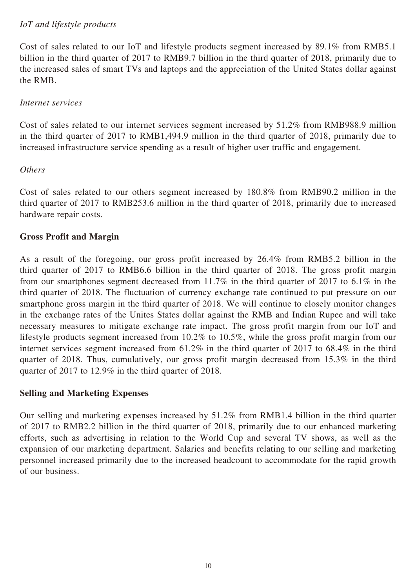# *IoT and lifestyle products*

Cost of sales related to our IoT and lifestyle products segment increased by 89.1% from RMB5.1 billion in the third quarter of 2017 to RMB9.7 billion in the third quarter of 2018, primarily due to the increased sales of smart TVs and laptops and the appreciation of the United States dollar against the RMB.

# *Internet services*

Cost of sales related to our internet services segment increased by 51.2% from RMB988.9 million in the third quarter of 2017 to RMB1,494.9 million in the third quarter of 2018, primarily due to increased infrastructure service spending as a result of higher user traffic and engagement.

# *Others*

Cost of sales related to our others segment increased by 180.8% from RMB90.2 million in the third quarter of 2017 to RMB253.6 million in the third quarter of 2018, primarily due to increased hardware repair costs.

# **Gross Profit and Margin**

As a result of the foregoing, our gross profit increased by 26.4% from RMB5.2 billion in the third quarter of 2017 to RMB6.6 billion in the third quarter of 2018. The gross profit margin from our smartphones segment decreased from 11.7% in the third quarter of 2017 to 6.1% in the third quarter of 2018. The fluctuation of currency exchange rate continued to put pressure on our smartphone gross margin in the third quarter of 2018. We will continue to closely monitor changes in the exchange rates of the Unites States dollar against the RMB and Indian Rupee and will take necessary measures to mitigate exchange rate impact. The gross profit margin from our IoT and lifestyle products segment increased from 10.2% to 10.5%, while the gross profit margin from our internet services segment increased from 61.2% in the third quarter of 2017 to 68.4% in the third quarter of 2018. Thus, cumulatively, our gross profit margin decreased from 15.3% in the third quarter of 2017 to 12.9% in the third quarter of 2018.

### **Selling and Marketing Expenses**

Our selling and marketing expenses increased by 51.2% from RMB1.4 billion in the third quarter of 2017 to RMB2.2 billion in the third quarter of 2018, primarily due to our enhanced marketing efforts, such as advertising in relation to the World Cup and several TV shows, as well as the expansion of our marketing department. Salaries and benefits relating to our selling and marketing personnel increased primarily due to the increased headcount to accommodate for the rapid growth of our business.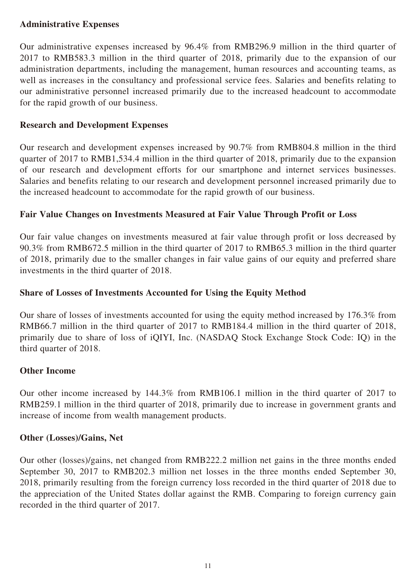# **Administrative Expenses**

Our administrative expenses increased by 96.4% from RMB296.9 million in the third quarter of 2017 to RMB583.3 million in the third quarter of 2018, primarily due to the expansion of our administration departments, including the management, human resources and accounting teams, as well as increases in the consultancy and professional service fees. Salaries and benefits relating to our administrative personnel increased primarily due to the increased headcount to accommodate for the rapid growth of our business.

# **Research and Development Expenses**

Our research and development expenses increased by 90.7% from RMB804.8 million in the third quarter of 2017 to RMB1,534.4 million in the third quarter of 2018, primarily due to the expansion of our research and development efforts for our smartphone and internet services businesses. Salaries and benefits relating to our research and development personnel increased primarily due to the increased headcount to accommodate for the rapid growth of our business.

# **Fair Value Changes on Investments Measured at Fair Value Through Profit or Loss**

Our fair value changes on investments measured at fair value through profit or loss decreased by 90.3% from RMB672.5 million in the third quarter of 2017 to RMB65.3 million in the third quarter of 2018, primarily due to the smaller changes in fair value gains of our equity and preferred share investments in the third quarter of 2018.

# **Share of Losses of Investments Accounted for Using the Equity Method**

Our share of losses of investments accounted for using the equity method increased by 176.3% from RMB66.7 million in the third quarter of 2017 to RMB184.4 million in the third quarter of 2018, primarily due to share of loss of iQIYI, Inc. (NASDAQ Stock Exchange Stock Code: IQ) in the third quarter of 2018.

### **Other Income**

Our other income increased by 144.3% from RMB106.1 million in the third quarter of 2017 to RMB259.1 million in the third quarter of 2018, primarily due to increase in government grants and increase of income from wealth management products.

### **Other (Losses)/Gains, Net**

Our other (losses)/gains, net changed from RMB222.2 million net gains in the three months ended September 30, 2017 to RMB202.3 million net losses in the three months ended September 30, 2018, primarily resulting from the foreign currency loss recorded in the third quarter of 2018 due to the appreciation of the United States dollar against the RMB. Comparing to foreign currency gain recorded in the third quarter of 2017.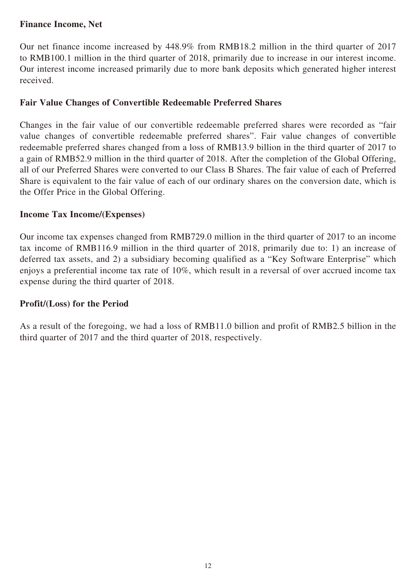# **Finance Income, Net**

Our net finance income increased by 448.9% from RMB18.2 million in the third quarter of 2017 to RMB100.1 million in the third quarter of 2018, primarily due to increase in our interest income. Our interest income increased primarily due to more bank deposits which generated higher interest received.

## **Fair Value Changes of Convertible Redeemable Preferred Shares**

Changes in the fair value of our convertible redeemable preferred shares were recorded as "fair value changes of convertible redeemable preferred shares". Fair value changes of convertible redeemable preferred shares changed from a loss of RMB13.9 billion in the third quarter of 2017 to a gain of RMB52.9 million in the third quarter of 2018. After the completion of the Global Offering, all of our Preferred Shares were converted to our Class B Shares. The fair value of each of Preferred Share is equivalent to the fair value of each of our ordinary shares on the conversion date, which is the Offer Price in the Global Offering.

### **Income Tax Income/(Expenses)**

Our income tax expenses changed from RMB729.0 million in the third quarter of 2017 to an income tax income of RMB116.9 million in the third quarter of 2018, primarily due to: 1) an increase of deferred tax assets, and 2) a subsidiary becoming qualified as a "Key Software Enterprise" which enjoys a preferential income tax rate of 10%, which result in a reversal of over accrued income tax expense during the third quarter of 2018.

### **Profit/(Loss) for the Period**

As a result of the foregoing, we had a loss of RMB11.0 billion and profit of RMB2.5 billion in the third quarter of 2017 and the third quarter of 2018, respectively.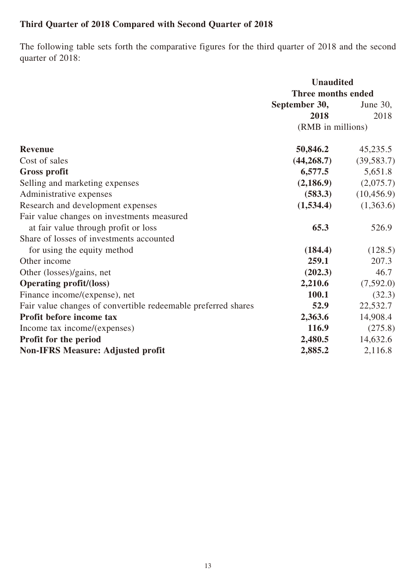# **Third Quarter of 2018 Compared with Second Quarter of 2018**

The following table sets forth the comparative figures for the third quarter of 2018 and the second quarter of 2018:

|                                                               | <b>Unaudited</b>   |             |
|---------------------------------------------------------------|--------------------|-------------|
|                                                               | Three months ended |             |
|                                                               | September 30,      | June $30$ , |
|                                                               | 2018               | 2018        |
|                                                               | (RMB in millions)  |             |
| <b>Revenue</b>                                                | 50,846.2           | 45,235.5    |
| Cost of sales                                                 | (44, 268.7)        | (39, 583.7) |
| <b>Gross profit</b>                                           | 6,577.5            | 5,651.8     |
| Selling and marketing expenses                                | (2,186.9)          | (2,075.7)   |
| Administrative expenses                                       | (583.3)            | (10, 456.9) |
| Research and development expenses                             | (1,534.4)          | (1,363.6)   |
| Fair value changes on investments measured                    |                    |             |
| at fair value through profit or loss                          | 65.3               | 526.9       |
| Share of losses of investments accounted                      |                    |             |
| for using the equity method                                   | (184.4)            | (128.5)     |
| Other income                                                  | 259.1              | 207.3       |
| Other (losses)/gains, net                                     | (202.3)            | 46.7        |
| <b>Operating profit/(loss)</b>                                | 2,210.6            | (7,592.0)   |
| Finance income/(expense), net                                 | 100.1              | (32.3)      |
| Fair value changes of convertible redeemable preferred shares | 52.9               | 22,532.7    |
| Profit before income tax                                      | 2,363.6            | 14,908.4    |
| Income tax income/(expenses)                                  | 116.9              | (275.8)     |
| Profit for the period                                         | 2,480.5            | 14,632.6    |
| <b>Non-IFRS Measure: Adjusted profit</b>                      | 2,885.2            | 2,116.8     |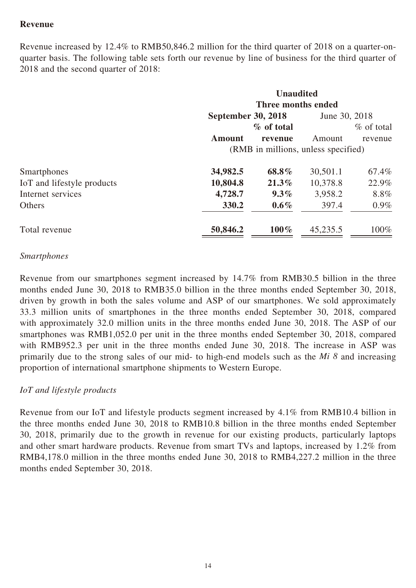# **Revenue**

Revenue increased by 12.4% to RMB50,846.2 million for the third quarter of 2018 on a quarter-onquarter basis. The following table sets forth our revenue by line of business for the third quarter of 2018 and the second quarter of 2018:

|                            | <b>Unaudited</b><br>Three months ended |            |               |               |  |
|----------------------------|----------------------------------------|------------|---------------|---------------|--|
|                            | <b>September 30, 2018</b>              |            | June 30, 2018 |               |  |
|                            |                                        | % of total |               | $\%$ of total |  |
|                            | <b>Amount</b>                          | revenue    | Amount        | revenue       |  |
|                            | (RMB in millions, unless specified)    |            |               |               |  |
| Smartphones                | 34,982.5                               | 68.8%      | 30,501.1      | 67.4%         |  |
| IoT and lifestyle products | 10,804.8                               | $21.3\%$   | 10,378.8      | 22.9%         |  |
| Internet services          | 4,728.7                                | $9.3\%$    | 3,958.2       | 8.8%          |  |
| <b>Others</b>              | 330.2                                  | $0.6\%$    | 397.4         | $0.9\%$       |  |
| Total revenue              | 50,846.2                               | $100\%$    | 45,235.5      | 100%          |  |

### *Smartphones*

Revenue from our smartphones segment increased by 14.7% from RMB30.5 billion in the three months ended June 30, 2018 to RMB35.0 billion in the three months ended September 30, 2018, driven by growth in both the sales volume and ASP of our smartphones. We sold approximately 33.3 million units of smartphones in the three months ended September 30, 2018, compared with approximately 32.0 million units in the three months ended June 30, 2018. The ASP of our smartphones was RMB1,052.0 per unit in the three months ended September 30, 2018, compared with RMB952.3 per unit in the three months ended June 30, 2018. The increase in ASP was primarily due to the strong sales of our mid- to high-end models such as the *Mi 8* and increasing proportion of international smartphone shipments to Western Europe.

### *IoT and lifestyle products*

Revenue from our IoT and lifestyle products segment increased by 4.1% from RMB10.4 billion in the three months ended June 30, 2018 to RMB10.8 billion in the three months ended September 30, 2018, primarily due to the growth in revenue for our existing products, particularly laptops and other smart hardware products. Revenue from smart TVs and laptops, increased by 1.2% from RMB4,178.0 million in the three months ended June 30, 2018 to RMB4,227.2 million in the three months ended September 30, 2018.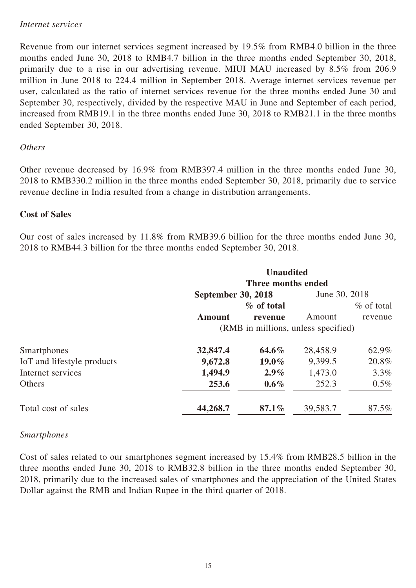#### *Internet services*

Revenue from our internet services segment increased by 19.5% from RMB4.0 billion in the three months ended June 30, 2018 to RMB4.7 billion in the three months ended September 30, 2018, primarily due to a rise in our advertising revenue. MIUI MAU increased by 8.5% from 206.9 million in June 2018 to 224.4 million in September 2018. Average internet services revenue per user, calculated as the ratio of internet services revenue for the three months ended June 30 and September 30, respectively, divided by the respective MAU in June and September of each period, increased from RMB19.1 in the three months ended June 30, 2018 to RMB21.1 in the three months ended September 30, 2018.

# *Others*

Other revenue decreased by 16.9% from RMB397.4 million in the three months ended June 30, 2018 to RMB330.2 million in the three months ended September 30, 2018, primarily due to service revenue decline in India resulted from a change in distribution arrangements.

# **Cost of Sales**

Our cost of sales increased by 11.8% from RMB39.6 billion for the three months ended June 30, 2018 to RMB44.3 billion for the three months ended September 30, 2018.

|                            | <b>Unaudited</b>                    |                    |               |              |  |
|----------------------------|-------------------------------------|--------------------|---------------|--------------|--|
|                            |                                     | Three months ended |               |              |  |
|                            | <b>September 30, 2018</b>           |                    | June 30, 2018 |              |  |
|                            |                                     | % of total         |               | $%$ of total |  |
|                            | <b>Amount</b>                       | revenue            | Amount        | revenue      |  |
|                            | (RMB in millions, unless specified) |                    |               |              |  |
| Smartphones                | 32,847.4                            | $64.6\%$           | 28,458.9      | 62.9%        |  |
| IoT and lifestyle products | 9,672.8                             | $19.0\%$           | 9,399.5       | 20.8%        |  |
| Internet services          | 1,494.9                             | $2.9\%$            | 1,473.0       | 3.3%         |  |
| Others                     | 253.6                               | $0.6\%$            | 252.3         | $0.5\%$      |  |
| Total cost of sales        | 44,268.7                            | $87.1\%$           | 39,583.7      | 87.5%        |  |

### *Smartphones*

Cost of sales related to our smartphones segment increased by 15.4% from RMB28.5 billion in the three months ended June 30, 2018 to RMB32.8 billion in the three months ended September 30, 2018, primarily due to the increased sales of smartphones and the appreciation of the United States Dollar against the RMB and Indian Rupee in the third quarter of 2018.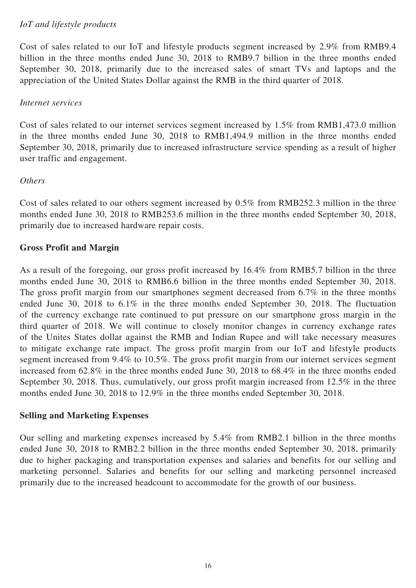# *IoT and lifestyle products*

Cost of sales related to our IoT and lifestyle products segment increased by 2.9% from RMB9.4 billion in the three months ended June 30, 2018 to RMB9.7 billion in the three months ended September 30, 2018, primarily due to the increased sales of smart TVs and laptops and the appreciation of the United States Dollar against the RMB in the third quarter of 2018.

## *Internet services*

Cost of sales related to our internet services segment increased by 1.5% from RMB1,473.0 million in the three months ended June 30, 2018 to RMB1,494.9 million in the three months ended September 30, 2018, primarily due to increased infrastructure service spending as a result of higher user traffic and engagement.

### *Others*

Cost of sales related to our others segment increased by 0.5% from RMB252.3 million in the three months ended June 30, 2018 to RMB253.6 million in the three months ended September 30, 2018, primarily due to increased hardware repair costs.

# **Gross Profit and Margin**

As a result of the foregoing, our gross profit increased by 16.4% from RMB5.7 billion in the three months ended June 30, 2018 to RMB6.6 billion in the three months ended September 30, 2018. The gross profit margin from our smartphones segment decreased from 6.7% in the three months ended June 30, 2018 to 6.1% in the three months ended September 30, 2018. The fluctuation of the currency exchange rate continued to put pressure on our smartphone gross margin in the third quarter of 2018. We will continue to closely monitor changes in currency exchange rates of the Unites States dollar against the RMB and Indian Rupee and will take necessary measures to mitigate exchange rate impact. The gross profit margin from our IoT and lifestyle products segment increased from 9.4% to 10.5%. The gross profit margin from our internet services segment increased from 62.8% in the three months ended June 30, 2018 to 68.4% in the three months ended September 30, 2018. Thus, cumulatively, our gross profit margin increased from 12.5% in the three months ended June 30, 2018 to 12.9% in the three months ended September 30, 2018.

### **Selling and Marketing Expenses**

Our selling and marketing expenses increased by 5.4% from RMB2.1 billion in the three months ended June 30, 2018 to RMB2.2 billion in the three months ended September 30, 2018, primarily due to higher packaging and transportation expenses and salaries and benefits for our selling and marketing personnel. Salaries and benefits for our selling and marketing personnel increased primarily due to the increased headcount to accommodate for the growth of our business.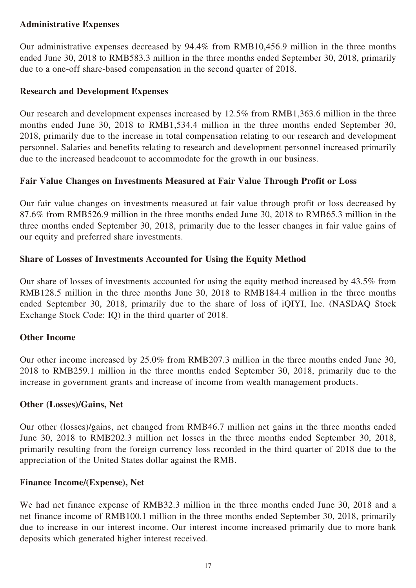# **Administrative Expenses**

Our administrative expenses decreased by 94.4% from RMB10,456.9 million in the three months ended June 30, 2018 to RMB583.3 million in the three months ended September 30, 2018, primarily due to a one-off share-based compensation in the second quarter of 2018.

## **Research and Development Expenses**

Our research and development expenses increased by 12.5% from RMB1,363.6 million in the three months ended June 30, 2018 to RMB1,534.4 million in the three months ended September 30, 2018, primarily due to the increase in total compensation relating to our research and development personnel. Salaries and benefits relating to research and development personnel increased primarily due to the increased headcount to accommodate for the growth in our business.

# **Fair Value Changes on Investments Measured at Fair Value Through Profit or Loss**

Our fair value changes on investments measured at fair value through profit or loss decreased by 87.6% from RMB526.9 million in the three months ended June 30, 2018 to RMB65.3 million in the three months ended September 30, 2018, primarily due to the lesser changes in fair value gains of our equity and preferred share investments.

# **Share of Losses of Investments Accounted for Using the Equity Method**

Our share of losses of investments accounted for using the equity method increased by 43.5% from RMB128.5 million in the three months June 30, 2018 to RMB184.4 million in the three months ended September 30, 2018, primarily due to the share of loss of iQIYI, Inc. (NASDAQ Stock Exchange Stock Code: IQ) in the third quarter of 2018.

# **Other Income**

Our other income increased by 25.0% from RMB207.3 million in the three months ended June 30, 2018 to RMB259.1 million in the three months ended September 30, 2018, primarily due to the increase in government grants and increase of income from wealth management products.

### **Other (Losses)/Gains, Net**

Our other (losses)/gains, net changed from RMB46.7 million net gains in the three months ended June 30, 2018 to RMB202.3 million net losses in the three months ended September 30, 2018, primarily resulting from the foreign currency loss recorded in the third quarter of 2018 due to the appreciation of the United States dollar against the RMB.

# **Finance Income/(Expense), Net**

We had net finance expense of RMB32.3 million in the three months ended June 30, 2018 and a net finance income of RMB100.1 million in the three months ended September 30, 2018, primarily due to increase in our interest income. Our interest income increased primarily due to more bank deposits which generated higher interest received.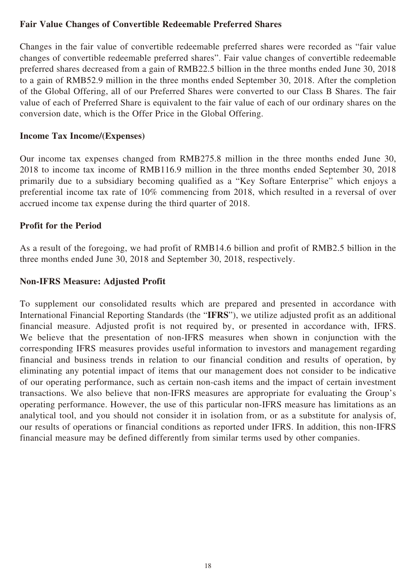# **Fair Value Changes of Convertible Redeemable Preferred Shares**

Changes in the fair value of convertible redeemable preferred shares were recorded as "fair value changes of convertible redeemable preferred shares". Fair value changes of convertible redeemable preferred shares decreased from a gain of RMB22.5 billion in the three months ended June 30, 2018 to a gain of RMB52.9 million in the three months ended September 30, 2018. After the completion of the Global Offering, all of our Preferred Shares were converted to our Class B Shares. The fair value of each of Preferred Share is equivalent to the fair value of each of our ordinary shares on the conversion date, which is the Offer Price in the Global Offering.

### **Income Tax Income/(Expenses)**

Our income tax expenses changed from RMB275.8 million in the three months ended June 30, 2018 to income tax income of RMB116.9 million in the three months ended September 30, 2018 primarily due to a subsidiary becoming qualified as a "Key Softare Enterprise" which enjoys a preferential income tax rate of 10% commencing from 2018, which resulted in a reversal of over accrued income tax expense during the third quarter of 2018.

# **Profit for the Period**

As a result of the foregoing, we had profit of RMB14.6 billion and profit of RMB2.5 billion in the three months ended June 30, 2018 and September 30, 2018, respectively.

# **Non-IFRS Measure: Adjusted Profit**

To supplement our consolidated results which are prepared and presented in accordance with International Financial Reporting Standards (the "**IFRS**"), we utilize adjusted profit as an additional financial measure. Adjusted profit is not required by, or presented in accordance with, IFRS. We believe that the presentation of non-IFRS measures when shown in conjunction with the corresponding IFRS measures provides useful information to investors and management regarding financial and business trends in relation to our financial condition and results of operation, by eliminating any potential impact of items that our management does not consider to be indicative of our operating performance, such as certain non-cash items and the impact of certain investment transactions. We also believe that non-IFRS measures are appropriate for evaluating the Group's operating performance. However, the use of this particular non-IFRS measure has limitations as an analytical tool, and you should not consider it in isolation from, or as a substitute for analysis of, our results of operations or financial conditions as reported under IFRS. In addition, this non-IFRS financial measure may be defined differently from similar terms used by other companies.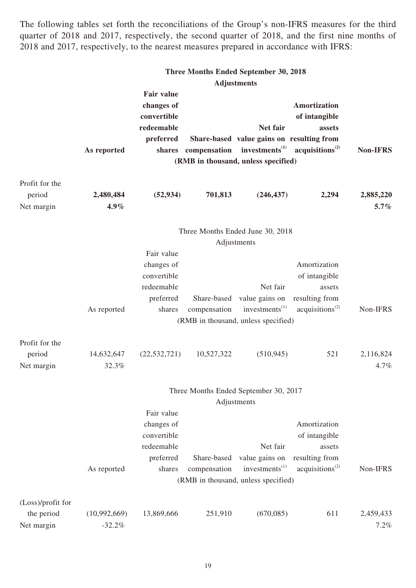The following tables set forth the reconciliations of the Group's non-IFRS measures for the third quarter of 2018 and 2017, respectively, the second quarter of 2018, and the first nine months of 2018 and 2017, respectively, to the nearest measures prepared in accordance with IFRS:

|                                        |                      |                                                                           |                     | <b>Three Months Ended September 30, 2018</b>                                                 |                                                                                                   |                      |
|----------------------------------------|----------------------|---------------------------------------------------------------------------|---------------------|----------------------------------------------------------------------------------------------|---------------------------------------------------------------------------------------------------|----------------------|
|                                        |                      |                                                                           |                     | <b>Adjustments</b>                                                                           |                                                                                                   |                      |
|                                        | As reported          | <b>Fair value</b><br>changes of<br>convertible<br>redeemable<br>preferred | shares compensation | Net fair<br>Share-based value gains on resulting from<br>(RMB in thousand, unless specified) | Amortization<br>of intangible<br>assets<br>investments <sup>(1)</sup> acquisitions <sup>(2)</sup> | <b>Non-IFRS</b>      |
| Profit for the<br>period<br>Net margin | 2,480,484<br>$4.9\%$ | (52, 934)                                                                 | 701,813             | (246, 437)                                                                                   | 2,294                                                                                             | 2,885,220<br>$5.7\%$ |
|                                        |                      |                                                                           |                     | Three Months Ended June 30, 2018                                                             |                                                                                                   |                      |
|                                        |                      | Fair value                                                                |                     | Adjustments                                                                                  |                                                                                                   |                      |
|                                        |                      | changes of                                                                |                     |                                                                                              | Amortization                                                                                      |                      |
|                                        |                      | convertible                                                               |                     |                                                                                              | of intangible                                                                                     |                      |
|                                        |                      | redeemable                                                                |                     | Net fair                                                                                     | assets                                                                                            |                      |
|                                        |                      | preferred                                                                 | Share-based         | value gains on                                                                               | resulting from                                                                                    |                      |
|                                        | As reported          | shares                                                                    | compensation        | investments <sup>(1)</sup><br>(RMB in thousand, unless specified)                            | acquisitions <sup>(2)</sup>                                                                       | Non-IFRS             |
| Profit for the                         |                      |                                                                           |                     |                                                                                              |                                                                                                   |                      |
| period                                 | 14,632,647           | (22, 532, 721)                                                            | 10,527,322          | (510, 945)                                                                                   | 521                                                                                               | 2,116,824            |
| Net margin                             | 32.3%                |                                                                           |                     |                                                                                              |                                                                                                   | 4.7%                 |
|                                        |                      |                                                                           |                     | Three Months Ended September 30, 2017                                                        |                                                                                                   |                      |
|                                        |                      |                                                                           |                     | Adjustments                                                                                  |                                                                                                   |                      |
|                                        |                      | Fair value                                                                |                     |                                                                                              |                                                                                                   |                      |
|                                        |                      | changes of                                                                |                     |                                                                                              | Amortization                                                                                      |                      |
|                                        |                      | convertible<br>redeemable                                                 |                     | Net fair                                                                                     | of intangible<br>assets                                                                           |                      |
|                                        |                      | preferred                                                                 | Share-based         | value gains on                                                                               | resulting from                                                                                    |                      |
|                                        | As reported          | shares                                                                    | compensation        | investments <sup>(1)</sup>                                                                   | acquisitions <sup>(2)</sup>                                                                       | Non-IFRS             |
|                                        |                      |                                                                           |                     | (RMB in thousand, unless specified)                                                          |                                                                                                   |                      |
| (Loss)/profit for                      |                      |                                                                           |                     |                                                                                              |                                                                                                   |                      |
| the period                             | (10,992,669)         | 13,869,666                                                                | 251,910             | (670,085)                                                                                    | 611                                                                                               | 2,459,433            |
| Net margin                             | $-32.2%$             |                                                                           |                     |                                                                                              |                                                                                                   | 7.2%                 |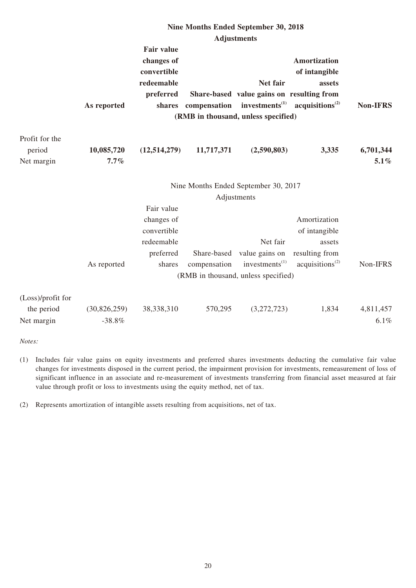|                                               |                          |                                                                              |                             | Nine Months Ended September 30, 2018                                                                                       |                                                                                          |                      |
|-----------------------------------------------|--------------------------|------------------------------------------------------------------------------|-----------------------------|----------------------------------------------------------------------------------------------------------------------------|------------------------------------------------------------------------------------------|----------------------|
|                                               |                          |                                                                              |                             | <b>Adjustments</b>                                                                                                         |                                                                                          |                      |
|                                               | As reported              | <b>Fair value</b><br>changes of<br>convertible<br>redeemable<br>preferred    | shares compensation         | Net fair<br>Share-based value gains on resulting from<br>investments <sup>(1)</sup><br>(RMB in thousand, unless specified) | <b>Amortization</b><br>of intangible<br>assets<br>acquisitions <sup>(2)</sup>            | <b>Non-IFRS</b>      |
| Profit for the<br>period<br>Net margin        | 10,085,720<br>$7.7\%$    | (12, 514, 279)                                                               | 11,717,371                  | (2,590,803)                                                                                                                | 3,335                                                                                    | 6,701,344<br>$5.1\%$ |
|                                               |                          |                                                                              |                             | Nine Months Ended September 30, 2017<br>Adjustments                                                                        |                                                                                          |                      |
|                                               | As reported              | Fair value<br>changes of<br>convertible<br>redeemable<br>preferred<br>shares | Share-based<br>compensation | Net fair<br>value gains on<br>investments $^{(1)}$<br>(RMB in thousand, unless specified)                                  | Amortization<br>of intangible<br>assets<br>resulting from<br>acquisitions <sup>(2)</sup> | Non-IFRS             |
| (Loss)/profit for<br>the period<br>Net margin | (30,826,259)<br>$-38.8%$ | 38,338,310                                                                   | 570,295                     | (3,272,723)                                                                                                                | 1,834                                                                                    | 4,811,457<br>6.1%    |

*Notes:*

(1) Includes fair value gains on equity investments and preferred shares investments deducting the cumulative fair value changes for investments disposed in the current period, the impairment provision for investments, remeasurement of loss of significant influence in an associate and re-measurement of investments transferring from financial asset measured at fair value through profit or loss to investments using the equity method, net of tax.

(2) Represents amortization of intangible assets resulting from acquisitions, net of tax.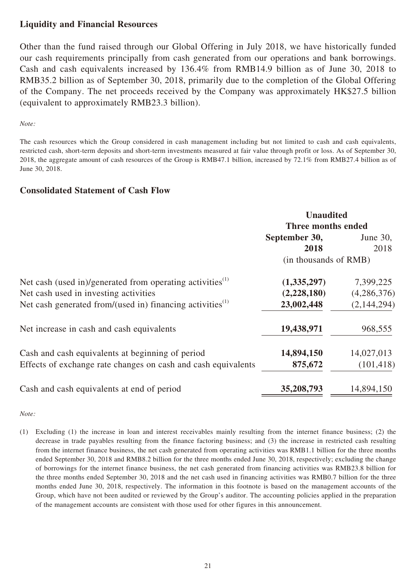# **Liquidity and Financial Resources**

Other than the fund raised through our Global Offering in July 2018, we have historically funded our cash requirements principally from cash generated from our operations and bank borrowings. Cash and cash equivalents increased by 136.4% from RMB14.9 billion as of June 30, 2018 to RMB35.2 billion as of September 30, 2018, primarily due to the completion of the Global Offering of the Company. The net proceeds received by the Company was approximately HK\$27.5 billion (equivalent to approximately RMB23.3 billion).

#### *Note:*

The cash resources which the Group considered in cash management including but not limited to cash and cash equivalents, restricted cash, short-term deposits and short-term investments measured at fair value through profit or loss. As of September 30, 2018, the aggregate amount of cash resources of the Group is RMB47.1 billion, increased by 72.1% from RMB27.4 billion as of June 30, 2018.

#### **Consolidated Statement of Cash Flow**

|                                                                       | <b>Unaudited</b>          |                    |  |  |
|-----------------------------------------------------------------------|---------------------------|--------------------|--|--|
|                                                                       |                           | Three months ended |  |  |
|                                                                       | September 30,<br>June 30, |                    |  |  |
|                                                                       | 2018                      | 2018               |  |  |
|                                                                       | (in thousands of RMB)     |                    |  |  |
| Net cash (used in)/generated from operating activities $^{(1)}$       | (1,335,297)               | 7,399,225          |  |  |
| Net cash used in investing activities                                 | (2,228,180)               | (4,286,376)        |  |  |
| Net cash generated from/(used in) financing activities <sup>(1)</sup> | 23,002,448                | (2,144,294)        |  |  |
| Net increase in cash and cash equivalents                             | 19,438,971                | 968,555            |  |  |
| Cash and cash equivalents at beginning of period                      | 14,894,150                | 14,027,013         |  |  |
| Effects of exchange rate changes on cash and cash equivalents         | 875,672                   | (101, 418)         |  |  |
| Cash and cash equivalents at end of period                            | 35,208,793                | 14,894,150         |  |  |

*Note:*

(1) Excluding (1) the increase in loan and interest receivables mainly resulting from the internet finance business; (2) the decrease in trade payables resulting from the finance factoring business; and (3) the increase in restricted cash resulting from the internet finance business, the net cash generated from operating activities was RMB1.1 billion for the three months ended September 30, 2018 and RMB8.2 billion for the three months ended June 30, 2018, respectively; excluding the change of borrowings for the internet finance business, the net cash generated from financing activities was RMB23.8 billion for the three months ended September 30, 2018 and the net cash used in financing activities was RMB0.7 billion for the three months ended June 30, 2018, respectively. The information in this footnote is based on the management accounts of the Group, which have not been audited or reviewed by the Group's auditor. The accounting policies applied in the preparation of the management accounts are consistent with those used for other figures in this announcement.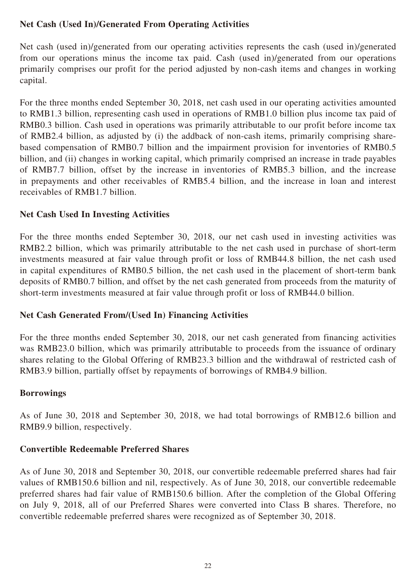# **Net Cash (Used In)/Generated From Operating Activities**

Net cash (used in)/generated from our operating activities represents the cash (used in)/generated from our operations minus the income tax paid. Cash (used in)/generated from our operations primarily comprises our profit for the period adjusted by non-cash items and changes in working capital.

For the three months ended September 30, 2018, net cash used in our operating activities amounted to RMB1.3 billion, representing cash used in operations of RMB1.0 billion plus income tax paid of RMB0.3 billion. Cash used in operations was primarily attributable to our profit before income tax of RMB2.4 billion, as adjusted by (i) the addback of non-cash items, primarily comprising sharebased compensation of RMB0.7 billion and the impairment provision for inventories of RMB0.5 billion, and (ii) changes in working capital, which primarily comprised an increase in trade payables of RMB7.7 billion, offset by the increase in inventories of RMB5.3 billion, and the increase in prepayments and other receivables of RMB5.4 billion, and the increase in loan and interest receivables of RMB1.7 billion.

# **Net Cash Used In Investing Activities**

For the three months ended September 30, 2018, our net cash used in investing activities was RMB2.2 billion, which was primarily attributable to the net cash used in purchase of short-term investments measured at fair value through profit or loss of RMB44.8 billion, the net cash used in capital expenditures of RMB0.5 billion, the net cash used in the placement of short-term bank deposits of RMB0.7 billion, and offset by the net cash generated from proceeds from the maturity of short-term investments measured at fair value through profit or loss of RMB44.0 billion.

# **Net Cash Generated From/(Used In) Financing Activities**

For the three months ended September 30, 2018, our net cash generated from financing activities was RMB23.0 billion, which was primarily attributable to proceeds from the issuance of ordinary shares relating to the Global Offering of RMB23.3 billion and the withdrawal of restricted cash of RMB3.9 billion, partially offset by repayments of borrowings of RMB4.9 billion.

### **Borrowings**

As of June 30, 2018 and September 30, 2018, we had total borrowings of RMB12.6 billion and RMB9.9 billion, respectively.

# **Convertible Redeemable Preferred Shares**

As of June 30, 2018 and September 30, 2018, our convertible redeemable preferred shares had fair values of RMB150.6 billion and nil, respectively. As of June 30, 2018, our convertible redeemable preferred shares had fair value of RMB150.6 billion. After the completion of the Global Offering on July 9, 2018, all of our Preferred Shares were converted into Class B shares. Therefore, no convertible redeemable preferred shares were recognized as of September 30, 2018.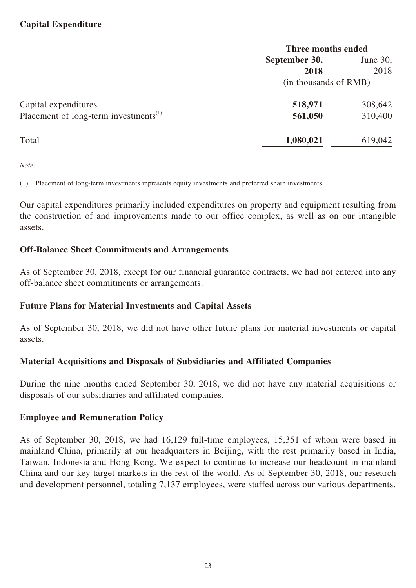# **Capital Expenditure**

|                                                   | Three months ended        |         |  |
|---------------------------------------------------|---------------------------|---------|--|
|                                                   | September 30,<br>June 30, |         |  |
|                                                   | 2018                      | 2018    |  |
|                                                   | (in thousands of RMB)     |         |  |
| Capital expenditures                              | 518,971                   | 308,642 |  |
| Placement of long-term investments <sup>(1)</sup> | 561,050                   | 310,400 |  |
| Total                                             | 1,080,021                 | 619,042 |  |

*Note:*

(1) Placement of long-term investments represents equity investments and preferred share investments.

Our capital expenditures primarily included expenditures on property and equipment resulting from the construction of and improvements made to our office complex, as well as on our intangible assets.

### **Off-Balance Sheet Commitments and Arrangements**

As of September 30, 2018, except for our financial guarantee contracts, we had not entered into any off-balance sheet commitments or arrangements.

### **Future Plans for Material Investments and Capital Assets**

As of September 30, 2018, we did not have other future plans for material investments or capital assets.

### **Material Acquisitions and Disposals of Subsidiaries and Affiliated Companies**

During the nine months ended September 30, 2018, we did not have any material acquisitions or disposals of our subsidiaries and affiliated companies.

### **Employee and Remuneration Policy**

As of September 30, 2018, we had 16,129 full-time employees, 15,351 of whom were based in mainland China, primarily at our headquarters in Beijing, with the rest primarily based in India, Taiwan, Indonesia and Hong Kong. We expect to continue to increase our headcount in mainland China and our key target markets in the rest of the world. As of September 30, 2018, our research and development personnel, totaling 7,137 employees, were staffed across our various departments.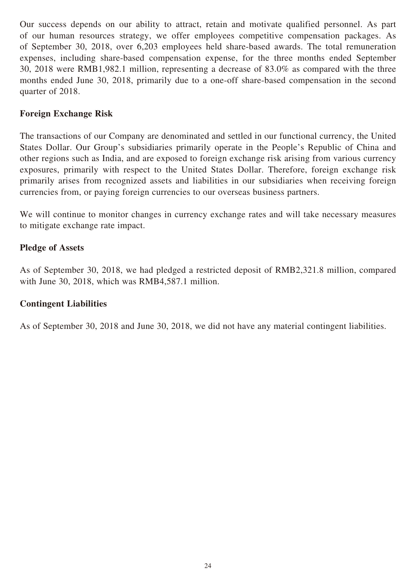Our success depends on our ability to attract, retain and motivate qualified personnel. As part of our human resources strategy, we offer employees competitive compensation packages. As of September 30, 2018, over 6,203 employees held share-based awards. The total remuneration expenses, including share-based compensation expense, for the three months ended September 30, 2018 were RMB1,982.1 million, representing a decrease of 83.0% as compared with the three months ended June 30, 2018, primarily due to a one-off share-based compensation in the second quarter of 2018.

# **Foreign Exchange Risk**

The transactions of our Company are denominated and settled in our functional currency, the United States Dollar. Our Group's subsidiaries primarily operate in the People's Republic of China and other regions such as India, and are exposed to foreign exchange risk arising from various currency exposures, primarily with respect to the United States Dollar. Therefore, foreign exchange risk primarily arises from recognized assets and liabilities in our subsidiaries when receiving foreign currencies from, or paying foreign currencies to our overseas business partners.

We will continue to monitor changes in currency exchange rates and will take necessary measures to mitigate exchange rate impact.

# **Pledge of Assets**

As of September 30, 2018, we had pledged a restricted deposit of RMB2,321.8 million, compared with June 30, 2018, which was RMB4,587.1 million.

### **Contingent Liabilities**

As of September 30, 2018 and June 30, 2018, we did not have any material contingent liabilities.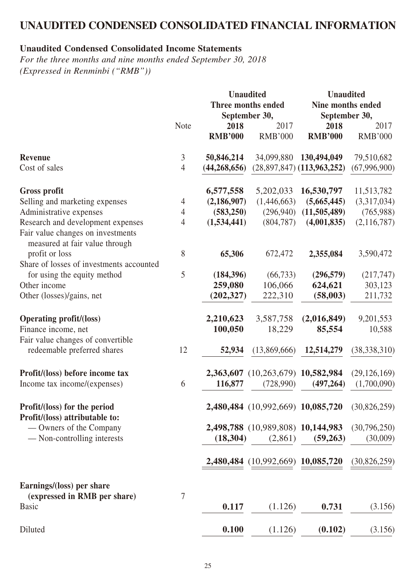# **UNAUDITED CONDENSED CONSOLIDATED FINANCIAL INFORMATION**

# **Unaudited Condensed Consolidated Income Statements**

*For the three months and nine months ended September 30, 2018 (Expressed in Renminbi ("RMB"))*

|                                                                                                          | <b>Note</b>    | 2018           | <b>Unaudited</b><br>Three months ended<br>September 30,<br>2017 | <b>Unaudited</b><br>2018       | <b>Nine months ended</b><br>September 30,<br>2017 |  |
|----------------------------------------------------------------------------------------------------------|----------------|----------------|-----------------------------------------------------------------|--------------------------------|---------------------------------------------------|--|
|                                                                                                          |                | <b>RMB'000</b> | <b>RMB'000</b>                                                  | <b>RMB'000</b>                 | <b>RMB'000</b>                                    |  |
| <b>Revenue</b>                                                                                           | 3              | 50,846,214     | 34,099,880                                                      | 130,494,049                    | 79,510,682                                        |  |
| Cost of sales                                                                                            | $\overline{4}$ | (44, 268, 656) |                                                                 | $(28,897,847)$ $(113,963,252)$ | (67, 996, 900)                                    |  |
| <b>Gross profit</b>                                                                                      |                | 6,577,558      | 5,202,033                                                       | 16,530,797                     | 11,513,782                                        |  |
| Selling and marketing expenses                                                                           | $\overline{4}$ | (2,186,907)    | (1,446,663)                                                     | (5,665,445)                    | (3,317,034)                                       |  |
| Administrative expenses                                                                                  | 4              | (583, 250)     | (296,940)                                                       | (11,505,489)                   | (765,988)                                         |  |
| Research and development expenses<br>Fair value changes on investments<br>measured at fair value through | $\overline{4}$ | (1,534,441)    | (804, 787)                                                      | (4,001,835)                    | (2,116,787)                                       |  |
| profit or loss                                                                                           | 8              | 65,306         | 672,472                                                         | 2,355,084                      | 3,590,472                                         |  |
| Share of losses of investments accounted                                                                 |                |                |                                                                 |                                |                                                   |  |
| for using the equity method                                                                              | 5              | (184, 396)     | (66, 733)                                                       | (296, 579)                     | (217, 747)                                        |  |
| Other income                                                                                             |                | 259,080        | 106,066                                                         | 624,621                        | 303,123                                           |  |
| Other (losses)/gains, net                                                                                |                | (202, 327)     | 222,310                                                         | (58,003)                       | 211,732                                           |  |
| <b>Operating profit/(loss)</b>                                                                           |                | 2,210,623      | 3,587,758                                                       | (2,016,849)                    | 9,201,553                                         |  |
| Finance income, net                                                                                      |                | 100,050        | 18,229                                                          | 85,554                         | 10,588                                            |  |
| Fair value changes of convertible                                                                        |                |                |                                                                 |                                |                                                   |  |
| redeemable preferred shares                                                                              | 12             | 52,934         | (13,869,666)                                                    | 12,514,279                     | (38, 338, 310)                                    |  |
| Profit/(loss) before income tax                                                                          |                | 2,363,607      | $(10,263,679)$ 10,582,984                                       |                                | (29, 126, 169)                                    |  |
| Income tax income/(expenses)                                                                             | 6              | 116,877        | (728,990)                                                       | (497, 264)                     | (1,700,090)                                       |  |
| Profit/(loss) for the period<br>Profit/(loss) attributable to:                                           |                |                | 2,480,484 (10,992,669) 10,085,720                               |                                | (30,826,259)                                      |  |
| — Owners of the Company                                                                                  |                |                | 2,498,788 (10,989,808) 10,144,983                               |                                | (30,796,250)                                      |  |
| - Non-controlling interests                                                                              |                | (18, 304)      | (2,861)                                                         | (59,263)                       | (30,009)                                          |  |
|                                                                                                          |                |                | 2,480,484 (10,992,669) 10,085,720                               |                                | (30,826,259)                                      |  |
| Earnings/(loss) per share<br>(expressed in RMB per share)                                                | 7              |                |                                                                 |                                |                                                   |  |
| <b>Basic</b>                                                                                             |                | 0.117          | (1.126)                                                         | 0.731                          | (3.156)                                           |  |
| Diluted                                                                                                  |                | 0.100          | (1.126)                                                         | (0.102)                        | (3.156)                                           |  |
|                                                                                                          |                |                |                                                                 |                                |                                                   |  |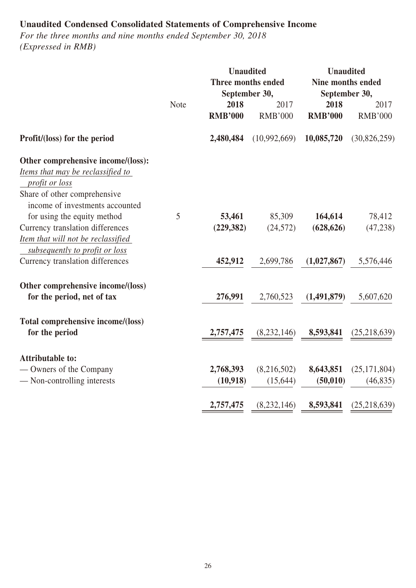# **Unaudited Condensed Consolidated Statements of Comprehensive Income**

*For the three months and nine months ended September 30, 2018 (Expressed in RMB)*

|                                                                                                                                         |             | <b>Unaudited</b><br>Three months ended<br>September 30, |                          | <b>Unaudited</b><br>Nine months ended<br>September 30, |                             |  |
|-----------------------------------------------------------------------------------------------------------------------------------------|-------------|---------------------------------------------------------|--------------------------|--------------------------------------------------------|-----------------------------|--|
|                                                                                                                                         | <b>Note</b> | 2018<br><b>RMB'000</b>                                  | 2017<br><b>RMB'000</b>   | 2018<br><b>RMB'000</b>                                 | 2017<br><b>RMB'000</b>      |  |
| Profit/(loss) for the period                                                                                                            |             | 2,480,484                                               | (10,992,669)             | 10,085,720                                             | (30, 826, 259)              |  |
| Other comprehensive income/(loss):<br>Items that may be reclassified to<br>profit or loss                                               |             |                                                         |                          |                                                        |                             |  |
| Share of other comprehensive<br>income of investments accounted                                                                         | 5           | 53,461                                                  |                          | 164,614                                                |                             |  |
| for using the equity method<br>Currency translation differences<br>Item that will not be reclassified<br>subsequently to profit or loss |             | (229, 382)                                              | 85,309<br>(24, 572)      | (628, 626)                                             | 78,412<br>(47, 238)         |  |
| Currency translation differences                                                                                                        |             | 452,912                                                 | 2,699,786                | (1,027,867)                                            | 5,576,446                   |  |
| Other comprehensive income/(loss)<br>for the period, net of tax                                                                         |             | 276,991                                                 | 2,760,523                | (1,491,879)                                            | 5,607,620                   |  |
| Total comprehensive income/(loss)<br>for the period                                                                                     |             | 2,757,475                                               | (8, 232, 146)            | 8,593,841                                              | (25,218,639)                |  |
| <b>Attributable to:</b>                                                                                                                 |             |                                                         |                          |                                                        |                             |  |
| — Owners of the Company<br>- Non-controlling interests                                                                                  |             | 2,768,393<br>(10,918)                                   | (8,216,502)<br>(15, 644) | 8,643,851<br>(50, 010)                                 | (25, 171, 804)<br>(46, 835) |  |
|                                                                                                                                         |             | 2,757,475                                               | (8,232,146)              | 8,593,841                                              | (25, 218, 639)              |  |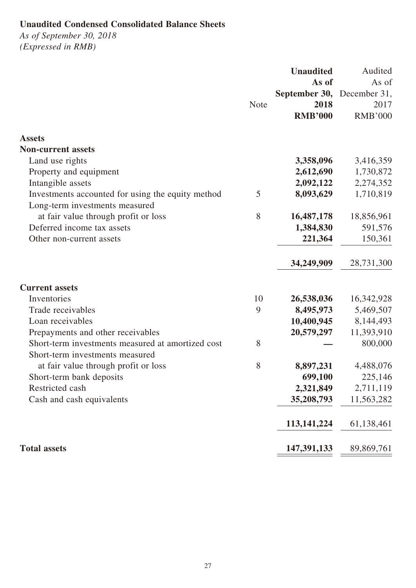# **Unaudited Condensed Consolidated Balance Sheets**

*As of September 30, 2018 (Expressed in RMB)*

|                                                   |             | <b>Unaudited</b>           | Audited        |
|---------------------------------------------------|-------------|----------------------------|----------------|
|                                                   |             | As of                      | As of          |
|                                                   |             | September 30, December 31, |                |
|                                                   | <b>Note</b> | 2018                       | 2017           |
|                                                   |             | <b>RMB'000</b>             | <b>RMB'000</b> |
| <b>Assets</b>                                     |             |                            |                |
| <b>Non-current assets</b>                         |             |                            |                |
| Land use rights                                   |             | 3,358,096                  | 3,416,359      |
| Property and equipment                            |             | 2,612,690                  | 1,730,872      |
| Intangible assets                                 |             | 2,092,122                  | 2,274,352      |
| Investments accounted for using the equity method | 5           | 8,093,629                  | 1,710,819      |
| Long-term investments measured                    |             |                            |                |
| at fair value through profit or loss              | 8           | 16,487,178                 | 18,856,961     |
| Deferred income tax assets                        |             | 1,384,830                  | 591,576        |
| Other non-current assets                          |             | 221,364                    | 150,361        |
|                                                   |             | 34,249,909                 | 28,731,300     |
| <b>Current assets</b>                             |             |                            |                |
| Inventories                                       | 10          | 26,538,036                 | 16,342,928     |
| Trade receivables                                 | 9           | 8,495,973                  | 5,469,507      |
| Loan receivables                                  |             | 10,400,945                 | 8,144,493      |
| Prepayments and other receivables                 |             | 20,579,297                 | 11,393,910     |
| Short-term investments measured at amortized cost | 8           |                            | 800,000        |
| Short-term investments measured                   |             |                            |                |
| at fair value through profit or loss              | 8           | 8,897,231                  | 4,488,076      |
| Short-term bank deposits                          |             | 699,100                    | 225,146        |
| Restricted cash                                   |             | 2,321,849                  | 2,711,119      |
| Cash and cash equivalents                         |             | 35,208,793                 | 11,563,282     |
|                                                   |             | 113, 141, 224              | 61,138,461     |
| <b>Total assets</b>                               |             | 147,391,133                | 89,869,761     |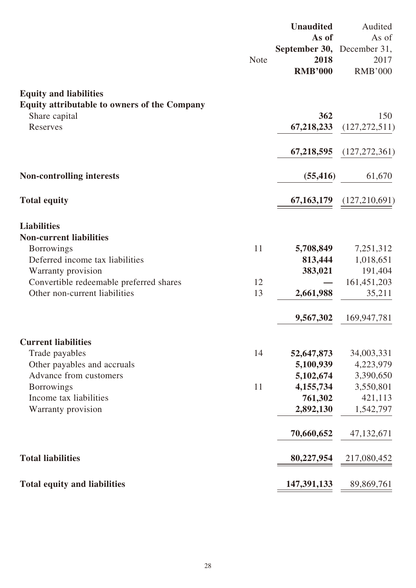|                                                                          | <b>Note</b> | <b>Unaudited</b><br>As of<br>September 30, December 31,<br>2018<br><b>RMB'000</b> | Audited<br>As of<br>2017<br><b>RMB'000</b> |
|--------------------------------------------------------------------------|-------------|-----------------------------------------------------------------------------------|--------------------------------------------|
| <b>Equity and liabilities</b>                                            |             |                                                                                   |                                            |
| Equity attributable to owners of the Company                             |             |                                                                                   |                                            |
| Share capital<br>Reserves                                                |             | 362<br>67,218,233                                                                 | 150<br>(127, 272, 511)                     |
|                                                                          |             |                                                                                   |                                            |
|                                                                          |             | 67,218,595                                                                        | (127, 272, 361)                            |
| <b>Non-controlling interests</b>                                         |             | (55, 416)                                                                         | 61,670                                     |
| <b>Total equity</b>                                                      |             | 67, 163, 179                                                                      | (127,210,691)                              |
| <b>Liabilities</b>                                                       |             |                                                                                   |                                            |
| <b>Non-current liabilities</b>                                           |             |                                                                                   |                                            |
| <b>Borrowings</b>                                                        | 11          | 5,708,849                                                                         | 7,251,312                                  |
| Deferred income tax liabilities                                          |             | 813,444                                                                           | 1,018,651                                  |
| Warranty provision                                                       |             | 383,021                                                                           | 191,404                                    |
| Convertible redeemable preferred shares<br>Other non-current liabilities | 12<br>13    | 2,661,988                                                                         | 161,451,203<br>35,211                      |
|                                                                          |             | 9,567,302                                                                         | 169,947,781                                |
| <b>Current liabilities</b>                                               |             |                                                                                   |                                            |
| Trade payables                                                           | 14          | 52,647,873                                                                        | 34,003,331                                 |
| Other payables and accruals                                              |             | 5,100,939                                                                         | 4,223,979                                  |
| Advance from customers                                                   |             | 5,102,674                                                                         | 3,390,650                                  |
| <b>Borrowings</b>                                                        | 11          | 4, 155, 734                                                                       | 3,550,801                                  |
| Income tax liabilities                                                   |             | 761,302                                                                           | 421,113                                    |
| Warranty provision                                                       |             | 2,892,130                                                                         | 1,542,797                                  |
|                                                                          |             | 70,660,652                                                                        | 47, 132, 671                               |
| <b>Total liabilities</b>                                                 |             | 80,227,954                                                                        | 217,080,452                                |
| <b>Total equity and liabilities</b>                                      |             | 147,391,133                                                                       | 89,869,761                                 |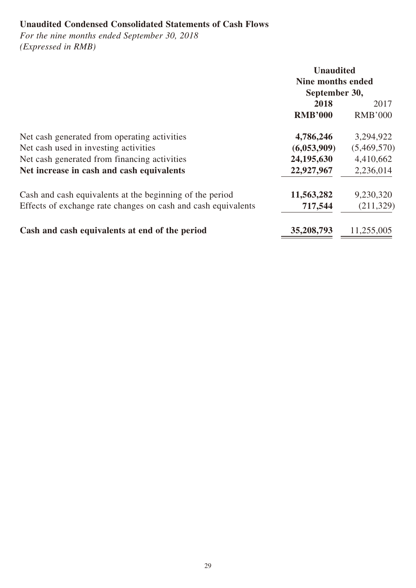# **Unaudited Condensed Consolidated Statements of Cash Flows**

*For the nine months ended September 30, 2018 (Expressed in RMB)*

|                                                               | <b>Unaudited</b><br>Nine months ended<br>September 30, |                |
|---------------------------------------------------------------|--------------------------------------------------------|----------------|
|                                                               | 2018                                                   | 2017           |
|                                                               | <b>RMB'000</b>                                         | <b>RMB'000</b> |
| Net cash generated from operating activities                  | 4,786,246                                              | 3,294,922      |
| Net cash used in investing activities                         | (6,053,909)                                            | (5,469,570)    |
| Net cash generated from financing activities                  | 24, 195, 630                                           | 4,410,662      |
| Net increase in cash and cash equivalents                     | 22,927,967                                             | 2,236,014      |
| Cash and cash equivalents at the beginning of the period      | 11,563,282                                             | 9,230,320      |
| Effects of exchange rate changes on cash and cash equivalents | 717,544                                                | (211, 329)     |
| Cash and cash equivalents at end of the period                | 35,208,793                                             | 11,255,005     |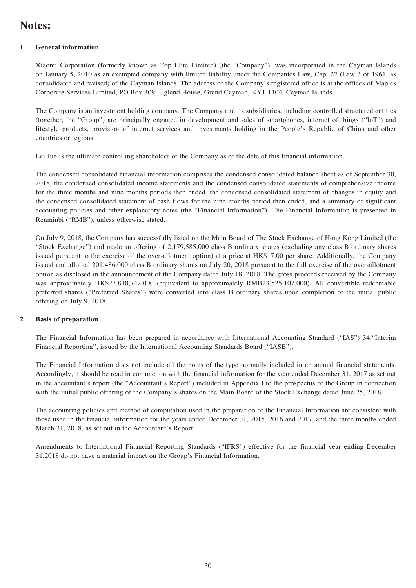# **Notes:**

#### **1 General information**

Xiaomi Corporation (formerly known as Top Elite Limited) (the "Company"), was incorporated in the Cayman Islands on January 5, 2010 as an exempted company with limited liability under the Companies Law, Cap. 22 (Law 3 of 1961, as consolidated and revised) of the Cayman Islands. The address of the Company's registered office is at the offices of Maples Corporate Services Limited, PO Box 309, Ugland House, Grand Cayman, KY1-1104, Cayman Islands.

The Company is an investment holding company. The Company and its subsidiaries, including controlled structured entities (together, the "Group") are principally engaged in development and sales of smartphones, internet of things ("IoT") and lifestyle products, provision of internet services and investments holding in the People's Republic of China and other countries or regions.

Lei Jun is the ultimate controlling shareholder of the Company as of the date of this financial information.

The condensed consolidated financial information comprises the condensed consolidated balance sheet as of September 30, 2018, the condensed consolidated income statements and the condensed consolidated statements of comprehensive income for the three months and nine months periods then ended, the condensed consolidated statement of changes in equity and the condensed consolidated statement of cash flows for the nine months period then ended, and a summary of significant accounting policies and other explanatory notes (the "Financial Information"). The Financial Information is presented in Renminbi ("RMB"), unless otherwise stated.

On July 9, 2018, the Company has successfully listed on the Main Board of The Stock Exchange of Hong Kong Limited (the "Stock Exchange") and made an offering of 2,179,585,000 class B ordinary shares (excluding any class B ordinary shares issued pursuant to the exercise of the over-allotment option) at a price at HK\$17.00 per share. Additionally, the Company issued and allotted 201,486,000 class B ordinary shares on July 20, 2018 pursuant to the full exercise of the over-allotment option as disclosed in the announcement of the Company dated July 18, 2018. The gross proceeds received by the Company was approximately HK\$27,810,742,000 (equivalent to approximately RMB23,525,107,000). All convertible redeemable preferred shares ("Preferred Shares") were converted into class B ordinary shares upon completion of the initial public offering on July 9, 2018.

#### **2 Basis of preparation**

The Financial Information has been prepared in accordance with International Accounting Standard ("IAS") 34,"Interim Financial Reporting", issued by the International Accounting Standards Board ("IASB").

The Financial Information does not include all the notes of the type normally included in an annual financial statements. Accordingly, it should be read in conjunction with the financial information for the year ended December 31, 2017 as set out in the accountant's report (the "Accountant's Report") included in Appendix I to the prospectus of the Group in connection with the initial public offering of the Company's shares on the Main Board of the Stock Exchange dated June 25, 2018.

The accounting policies and method of computation used in the preparation of the Financial Information are consistent with those used in the financial information for the years ended December 31, 2015, 2016 and 2017, and the three months ended March 31, 2018, as set out in the Accountant's Report.

Amendments to International Financial Reporting Standards ("IFRS") effective for the financial year ending December 31,2018 do not have a material impact on the Group's Financial Information.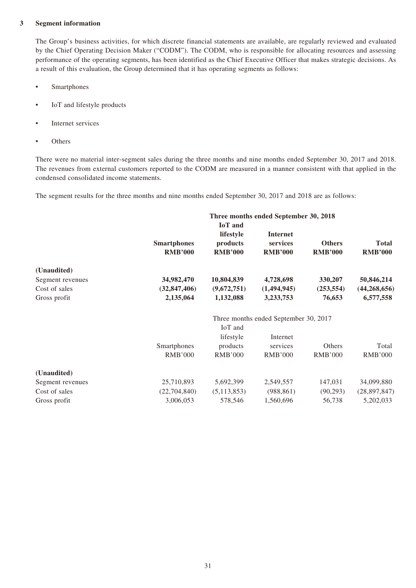#### **3 Segment information**

The Group's business activities, for which discrete financial statements are available, are regularly reviewed and evaluated by the Chief Operating Decision Maker ("CODM"). The CODM, who is responsible for allocating resources and assessing performance of the operating segments, has been identified as the Chief Executive Officer that makes strategic decisions. As a result of this evaluation, the Group determined that it has operating segments as follows:

- Smartphones
- IoT and lifestyle products
- Internet services
- **Others**

There were no material inter-segment sales during the three months and nine months ended September 30, 2017 and 2018. The revenues from external customers reported to the CODM are measured in a manner consistent with that applied in the condensed consolidated income statements.

The segment results for the three months and nine months ended September 30, 2017 and 2018 are as follows:

|                  |                    |                | Three months ended September 30, 2018 |                |                |
|------------------|--------------------|----------------|---------------------------------------|----------------|----------------|
|                  |                    | <b>IoT</b> and |                                       |                |                |
|                  |                    | lifestyle      | <b>Internet</b>                       |                |                |
|                  | <b>Smartphones</b> | products       | services                              | <b>Others</b>  | <b>Total</b>   |
|                  | <b>RMB'000</b>     | <b>RMB'000</b> | <b>RMB'000</b>                        | <b>RMB'000</b> | <b>RMB'000</b> |
| (Unaudited)      |                    |                |                                       |                |                |
| Segment revenues | 34,982,470         | 10,804,839     | 4,728,698                             | 330,207        | 50,846,214     |
| Cost of sales    | (32, 847, 406)     | (9,672,751)    | (1,494,945)                           | (253, 554)     | (44, 268, 656) |
| Gross profit     | 2,135,064          | 1,132,088      | 3,233,753                             | 76,653         | 6,577,558      |
|                  |                    |                | Three months ended September 30, 2017 |                |                |
|                  |                    | IoT and        |                                       |                |                |
|                  |                    | lifestyle      | Internet                              |                |                |
|                  | Smartphones        | products       | services                              | Others         | Total          |
|                  | <b>RMB'000</b>     | <b>RMB'000</b> | <b>RMB'000</b>                        | <b>RMB'000</b> | <b>RMB'000</b> |
| (Unaudited)      |                    |                |                                       |                |                |
| Segment revenues | 25,710,893         | 5,692,399      | 2,549,557                             | 147,031        | 34,099,880     |
| Cost of sales    | (22,704,840)       | (5, 113, 853)  | (988, 861)                            | (90,293)       | (28,897,847)   |
| Gross profit     | 3,006,053          | 578,546        | 1,560,696                             | 56,738         | 5,202,033      |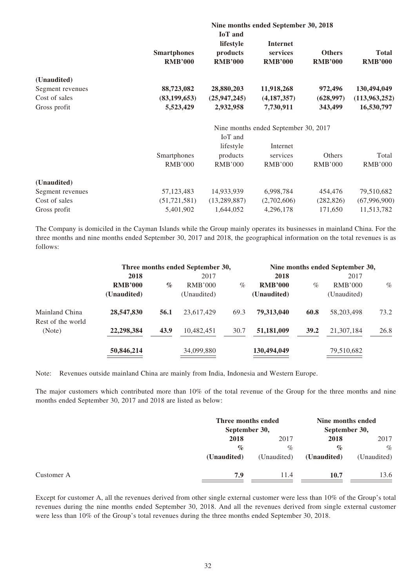|                  |                                      |                                                           | Nine months ended September 30, 2018          |                                 |                                |  |  |
|------------------|--------------------------------------|-----------------------------------------------------------|-----------------------------------------------|---------------------------------|--------------------------------|--|--|
|                  | <b>Smartphones</b><br><b>RMB'000</b> | <b>IoT</b> and<br>lifestyle<br>products<br><b>RMB'000</b> | <b>Internet</b><br>services<br><b>RMB'000</b> | <b>Others</b><br><b>RMB'000</b> | <b>Total</b><br><b>RMB'000</b> |  |  |
| (Unaudited)      |                                      |                                                           |                                               |                                 |                                |  |  |
| Segment revenues | 88,723,082                           | 28,880,203                                                | 11,918,268                                    | 972,496                         | 130,494,049                    |  |  |
| Cost of sales    | (83, 199, 653)                       | (25, 947, 245)                                            | (4, 187, 357)                                 | (628, 997)                      | (113,963,252)                  |  |  |
| Gross profit     | 5,523,429                            | 2,932,958                                                 | 7,730,911                                     | 343,499                         | 16,530,797                     |  |  |
|                  | Nine months ended September 30, 2017 |                                                           |                                               |                                 |                                |  |  |
|                  |                                      | IoT and                                                   |                                               |                                 |                                |  |  |
|                  |                                      | lifestyle                                                 | Internet                                      |                                 |                                |  |  |
|                  | Smartphones                          | products                                                  | services                                      | Others                          | Total                          |  |  |
|                  | <b>RMB'000</b>                       | <b>RMB'000</b>                                            | <b>RMB'000</b>                                | <b>RMB'000</b>                  | <b>RMB'000</b>                 |  |  |
| (Unaudited)      |                                      |                                                           |                                               |                                 |                                |  |  |
| Segment revenues | 57,123,483                           | 14,933,939                                                | 6,998,784                                     | 454,476                         | 79,510,682                     |  |  |
| Cost of sales    | (51, 721, 581)                       | (13, 289, 887)                                            | (2,702,606)                                   | (282, 826)                      | (67,996,900)                   |  |  |
| Gross profit     | 5,401,902                            | 1,644,052                                                 | 4,296,178                                     | 171,650                         | 11,513,782                     |  |  |

The Company is domiciled in the Cayman Islands while the Group mainly operates its businesses in mainland China. For the three months and nine months ended September 30, 2017 and 2018, the geographical information on the total revenues is as follows:

|                             | Three months ended September 30, |      |                |      | Nine months ended September 30, |      |             |      |
|-----------------------------|----------------------------------|------|----------------|------|---------------------------------|------|-------------|------|
|                             | 2018                             |      | 2017           |      | 2018                            |      | 2017        |      |
|                             | <b>RMB'000</b>                   | $\%$ | <b>RMB'000</b> | $\%$ | <b>RMB'000</b>                  | $\%$ | RMB'000     | $\%$ |
|                             | (Unaudited)                      |      | (Unaudited)    |      | (Unaudited)                     |      | (Unaudited) |      |
| Mainland China              | 28,547,830                       | 56.1 | 23,617,429     | 69.3 | 79.313,040                      | 60.8 | 58,203,498  | 73.2 |
| Rest of the world<br>(Note) | 22,298,384                       | 43.9 | 10,482,451     | 30.7 | 51,181,009                      | 39.2 | 21,307,184  | 26.8 |
|                             | 50,846,214                       |      | 34,099,880     |      | 130,494,049                     |      | 79,510,682  |      |

Note: Revenues outside mainland China are mainly from India, Indonesia and Western Europe.

The major customers which contributed more than 10% of the total revenue of the Group for the three months and nine months ended September 30, 2017 and 2018 are listed as below:

|             |             | Nine months ended<br>September 30,  |             |
|-------------|-------------|-------------------------------------|-------------|
| 2018        | 2017        | 2018                                | 2017        |
| $\%$        | $\%$        | $\%$                                | $\%$        |
| (Unaudited) | (Unaudited) | (Unaudited)                         | (Unaudited) |
| 7.9         | 11.4        | 10.7                                | 13.6        |
|             |             | Three months ended<br>September 30, |             |

Except for customer A, all the revenues derived from other single external customer were less than 10% of the Group's total revenues during the nine months ended September 30, 2018. And all the revenues derived from single external customer were less than 10% of the Group's total revenues during the three months ended September 30, 2018.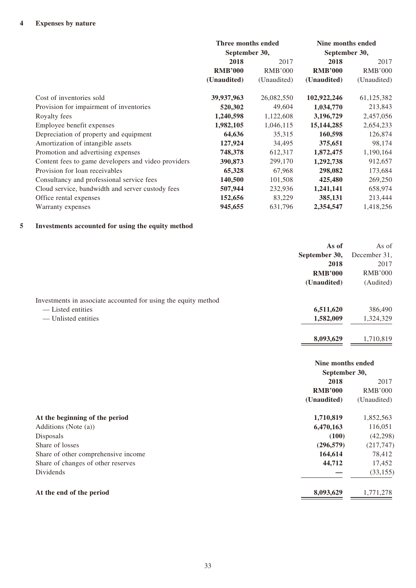|                                                     | Three months ended<br>September 30, |                | Nine months ended<br>September 30, |                |
|-----------------------------------------------------|-------------------------------------|----------------|------------------------------------|----------------|
|                                                     |                                     |                |                                    |                |
|                                                     | 2018                                | 2017           | 2018                               | 2017           |
|                                                     | <b>RMB'000</b>                      | <b>RMB'000</b> | <b>RMB'000</b>                     | <b>RMB'000</b> |
|                                                     | (Unaudited)                         | (Unaudited)    | (Unaudited)                        | (Unaudited)    |
| Cost of inventories sold                            | 39,937,963                          | 26,082,550     | 102,922,246                        | 61,125,382     |
| Provision for impairment of inventories             | 520,302                             | 49,604         | 1,034,770                          | 213,843        |
| Royalty fees                                        | 1,240,598                           | 1,122,608      | 3,196,729                          | 2,457,056      |
| Employee benefit expenses                           | 1,982,105                           | 1,046,115      | 15, 144, 285                       | 2,654,233      |
| Depreciation of property and equipment              | 64,636                              | 35,315         | 160,598                            | 126,874        |
| Amortization of intangible assets                   | 127,924                             | 34,495         | 375,651                            | 98,174         |
| Promotion and advertising expenses                  | 748,378                             | 612,317        | 1,872,475                          | 1,190,164      |
| Content fees to game developers and video providers | 390,873                             | 299,170        | 1,292,738                          | 912,657        |
| Provision for loan receivables                      | 65,328                              | 67,968         | 298,082                            | 173,684        |
| Consultancy and professional service fees           | 140,500                             | 101,508        | 425,480                            | 269,250        |
| Cloud service, bandwidth and server custody fees    | 507,944                             | 232,936        | 1,241,141                          | 658,974        |
| Office rental expenses                              | 152,656                             | 83,229         | 385,131                            | 213,444        |
| Warranty expenses                                   | 945,655                             | 631,796        | 2,354,547                          | 1,418,256      |

#### **5 Investments accounted for using the equity method**

|                                                                | As of             | As of          |
|----------------------------------------------------------------|-------------------|----------------|
|                                                                | September 30,     | December 31,   |
|                                                                | 2018              | 2017           |
|                                                                | <b>RMB'000</b>    | <b>RMB'000</b> |
|                                                                | (Unaudited)       | (Audited)      |
| Investments in associate accounted for using the equity method |                   |                |
| - Listed entities                                              | 6,511,620         | 386,490        |
| - Unlisted entities                                            | 1,582,009         | 1,324,329      |
|                                                                | 8,093,629         | 1,710,819      |
|                                                                | Nine months ended |                |
|                                                                | September 30,     |                |
|                                                                | 2018              | 2017           |
|                                                                | <b>RMB'000</b>    | <b>RMB'000</b> |
|                                                                | (Unaudited)       | (Unaudited)    |
| At the beginning of the period                                 | 1,710,819         | 1,852,563      |
| Additions (Note (a))                                           | 6,470,163         | 116,051        |
| Disposals                                                      | (100)             | (42, 298)      |
| Share of losses                                                | (296, 579)        | (217, 747)     |
| Share of other comprehensive income                            | 164,614           | 78,412         |
| Share of changes of other reserves                             | 44,712            | 17,452         |
| Dividends                                                      |                   | (33, 155)      |
| At the end of the period                                       | 8,093,629         | 1,771,278      |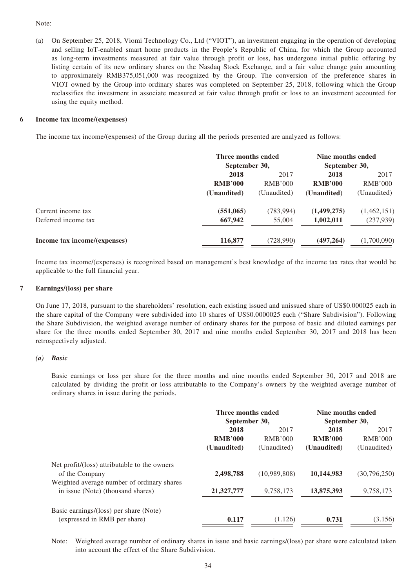#### Note:

(a) On September 25, 2018, Viomi Technology Co., Ltd ("VIOT"), an investment engaging in the operation of developing and selling IoT-enabled smart home products in the People's Republic of China, for which the Group accounted as long-term investments measured at fair value through profit or loss, has undergone initial public offering by listing certain of its new ordinary shares on the Nasdaq Stock Exchange, and a fair value change gain amounting to approximately RMB375,051,000 was recognized by the Group. The conversion of the preference shares in VIOT owned by the Group into ordinary shares was completed on September 25, 2018, following which the Group reclassifies the investment in associate measured at fair value through profit or loss to an investment accounted for using the equity method.

#### **6 Income tax income/(expenses)**

The income tax income/(expenses) of the Group during all the periods presented are analyzed as follows:

|                              | Three months ended |                | Nine months ended |               |
|------------------------------|--------------------|----------------|-------------------|---------------|
|                              |                    | September 30,  |                   | September 30, |
|                              | 2018               | 2017           | 2018              | 2017          |
|                              | <b>RMB'000</b>     | <b>RMB'000</b> | <b>RMB'000</b>    | RMB'000       |
|                              | (Unaudited)        | (Unaudited)    | (Unaudited)       | (Unaudited)   |
| Current income tax           | (551, 065)         | (783,994)      | (1,499,275)       | (1,462,151)   |
| Deferred income tax          | 667,942            | 55,004         | 1,002,011         | (237, 939)    |
| Income tax income/(expenses) | 116,877            | (728,990)      | (497, 264)        | (1,700,090)   |

Income tax income/(expenses) is recognized based on management's best knowledge of the income tax rates that would be applicable to the full financial year.

#### **7 Earnings/(loss) per share**

On June 17, 2018, pursuant to the shareholders' resolution, each existing issued and unissued share of US\$0.000025 each in the share capital of the Company were subdivided into 10 shares of US\$0.0000025 each ("Share Subdivision"). Following the Share Subdivision, the weighted average number of ordinary shares for the purpose of basic and diluted earnings per share for the three months ended September 30, 2017 and nine months ended September 30, 2017 and 2018 has been retrospectively adjusted.

#### *(a) Basic*

Basic earnings or loss per share for the three months and nine months ended September 30, 2017 and 2018 are calculated by dividing the profit or loss attributable to the Company's owners by the weighted average number of ordinary shares in issue during the periods.

|                                                                | Three months ended<br>September 30, |              | Nine months ended<br>September 30, |                |
|----------------------------------------------------------------|-------------------------------------|--------------|------------------------------------|----------------|
|                                                                | 2018                                | 2017         | 2018                               | 2017           |
|                                                                | <b>RMB'000</b>                      | RMB'000      | <b>RMB'000</b>                     | <b>RMB'000</b> |
|                                                                | (Unaudited)                         | (Unaudited)  | (Unaudited)                        | (Unaudited)    |
| Net profit/(loss) attributable to the owners<br>of the Company | 2,498,788                           | (10,989,808) | 10,144,983                         | (30,796,250)   |
| Weighted average number of ordinary shares                     |                                     |              |                                    |                |
| in issue (Note) (thousand shares)                              | 21,327,777                          | 9,758,173    | 13,875,393                         | 9,758,173      |
| Basic earnings/(loss) per share (Note)                         |                                     |              |                                    |                |
| (expressed in RMB per share)                                   | 0.117                               | (1.126)      | 0.731                              | (3.156)        |

Note: Weighted average number of ordinary shares in issue and basic earnings/(loss) per share were calculated taken into account the effect of the Share Subdivision.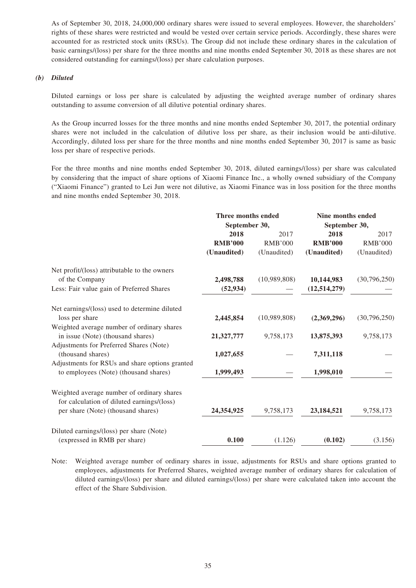As of September 30, 2018, 24,000,000 ordinary shares were issued to several employees. However, the shareholders' rights of these shares were restricted and would be vested over certain service periods. Accordingly, these shares were accounted for as restricted stock units (RSUs). The Group did not include these ordinary shares in the calculation of basic earnings/(loss) per share for the three months and nine months ended September 30, 2018 as these shares are not considered outstanding for earnings/(loss) per share calculation purposes.

#### *(b) Diluted*

Diluted earnings or loss per share is calculated by adjusting the weighted average number of ordinary shares outstanding to assume conversion of all dilutive potential ordinary shares.

As the Group incurred losses for the three months and nine months ended September 30, 2017, the potential ordinary shares were not included in the calculation of dilutive loss per share, as their inclusion would be anti-dilutive. Accordingly, diluted loss per share for the three months and nine months ended September 30, 2017 is same as basic loss per share of respective periods.

For the three months and nine months ended September 30, 2018, diluted earnings/(loss) per share was calculated by considering that the impact of share options of Xiaomi Finance Inc., a wholly owned subsidiary of the Company ("Xiaomi Finance") granted to Lei Jun were not dilutive, as Xiaomi Finance was in loss position for the three months and nine months ended September 30, 2018.

|                                                                                          | Three months ended<br>September 30, |                | Nine months ended<br>September 30, |                |
|------------------------------------------------------------------------------------------|-------------------------------------|----------------|------------------------------------|----------------|
|                                                                                          |                                     |                |                                    |                |
|                                                                                          | 2018                                | 2017           | 2018                               | 2017           |
|                                                                                          | <b>RMB'000</b>                      | <b>RMB'000</b> | <b>RMB'000</b>                     | <b>RMB'000</b> |
|                                                                                          | (Unaudited)                         | (Unaudited)    | (Unaudited)                        | (Unaudited)    |
| Net profit/(loss) attributable to the owners                                             |                                     |                |                                    |                |
| of the Company                                                                           | 2,498,788                           | (10,989,808)   | 10,144,983                         | (30,796,250)   |
| Less: Fair value gain of Preferred Shares                                                | (52, 934)                           |                | (12, 514, 279)                     |                |
| Net earnings/(loss) used to determine diluted                                            |                                     |                |                                    |                |
| loss per share                                                                           | 2,445,854                           | (10,989,808)   | (2,369,296)                        | (30,796,250)   |
| Weighted average number of ordinary shares                                               |                                     |                |                                    |                |
| in issue (Note) (thousand shares)                                                        | 21,327,777                          | 9,758,173      | 13,875,393                         | 9,758,173      |
| Adjustments for Preferred Shares (Note)                                                  |                                     |                |                                    |                |
| (thousand shares)                                                                        | 1,027,655                           |                | 7,311,118                          |                |
| Adjustments for RSUs and share options granted                                           |                                     |                |                                    |                |
| to employees (Note) (thousand shares)                                                    | 1,999,493                           |                | 1,998,010                          |                |
| Weighted average number of ordinary shares<br>for calculation of diluted earnings/(loss) |                                     |                |                                    |                |
| per share (Note) (thousand shares)                                                       | 24,354,925                          | 9,758,173      | 23, 184, 521                       | 9,758,173      |
| Diluted earnings/(loss) per share (Note)                                                 |                                     |                |                                    |                |
| (expressed in RMB per share)                                                             | 0.100                               | (1.126)        | (0.102)                            | (3.156)        |

Note: Weighted average number of ordinary shares in issue, adjustments for RSUs and share options granted to employees, adjustments for Preferred Shares, weighted average number of ordinary shares for calculation of diluted earnings/(loss) per share and diluted earnings/(loss) per share were calculated taken into account the effect of the Share Subdivision.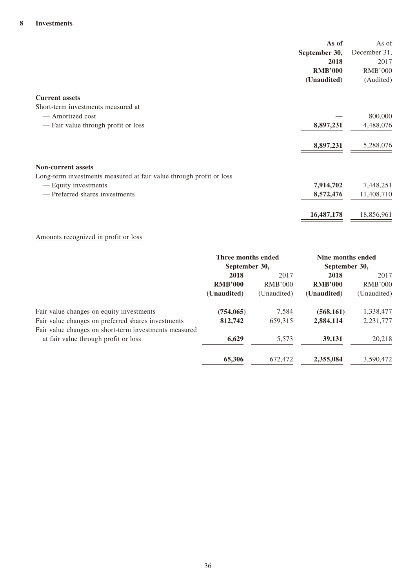| As of<br>September 30,<br>2018<br><b>RMB'000</b><br>(Unaudited)     | As of<br>December 31,<br>2017<br><b>RMB'000</b><br>(Audited) |
|---------------------------------------------------------------------|--------------------------------------------------------------|
| <b>Current assets</b>                                               |                                                              |
| Short-term investments measured at                                  |                                                              |
| — Amortized cost                                                    | 800,000                                                      |
| 8,897,231<br>— Fair value through profit or loss                    | 4,488,076                                                    |
| 8,897,231                                                           | 5,288,076                                                    |
| <b>Non-current assets</b>                                           |                                                              |
| Long-term investments measured at fair value through profit or loss |                                                              |
| — Equity investments<br>7,914,702                                   | 7,448,251                                                    |
| — Preferred shares investments<br>8,572,476                         | 11,408,710                                                   |
| 16,487,178                                                          | 18,856,961                                                   |

## Amounts recognized in profit or loss

|                                                                                               | Three months ended |                | Nine months ended |                |
|-----------------------------------------------------------------------------------------------|--------------------|----------------|-------------------|----------------|
|                                                                                               | September 30,      |                | September 30,     |                |
|                                                                                               | 2018               | 2017           | 2018              | 2017           |
|                                                                                               | <b>RMB'000</b>     | <b>RMB'000</b> | <b>RMB'000</b>    | <b>RMB'000</b> |
|                                                                                               | (Unaudited)        | (Unaudited)    | (Unaudited)       | (Unaudited)    |
| Fair value changes on equity investments                                                      | (754, 065)         | 7,584          | (568, 161)        | 1,338,477      |
| Fair value changes on preferred shares investments                                            | 812,742            | 659.315        | 2,884,114         | 2,231,777      |
| Fair value changes on short-term investments measured<br>at fair value through profit or loss | 6,629              | 5,573          | 39,131            | 20,218         |
|                                                                                               | 65,306             | 672,472        | 2,355,084         | 3,590,472      |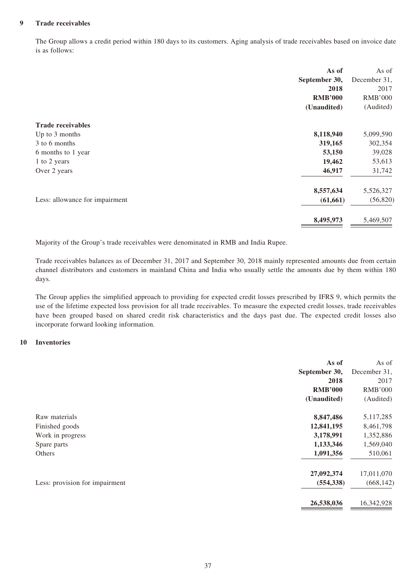#### **9 Trade receivables**

The Group allows a credit period within 180 days to its customers. Aging analysis of trade receivables based on invoice date is as follows:

|                                | As of          | As of          |
|--------------------------------|----------------|----------------|
|                                | September 30,  | December 31,   |
|                                | 2018           | 2017           |
|                                | <b>RMB'000</b> | <b>RMB'000</b> |
|                                | (Unaudited)    | (Audited)      |
| <b>Trade receivables</b>       |                |                |
| Up to 3 months                 | 8,118,940      | 5,099,590      |
| 3 to 6 months                  | 319,165        | 302,354        |
| 6 months to 1 year             | 53,150         | 39,028         |
| 1 to 2 years                   | 19,462         | 53,613         |
| Over 2 years                   | 46,917         | 31,742         |
|                                | 8,557,634      | 5,526,327      |
| Less: allowance for impairment | (61, 661)      | (56, 820)      |
|                                | 8,495,973      | 5,469,507      |

Majority of the Group's trade receivables were denominated in RMB and India Rupee.

Trade receivables balances as of December 31, 2017 and September 30, 2018 mainly represented amounts due from certain channel distributors and customers in mainland China and India who usually settle the amounts due by them within 180 days.

The Group applies the simplified approach to providing for expected credit losses prescribed by IFRS 9, which permits the use of the lifetime expected loss provision for all trade receivables. To measure the expected credit losses, trade receivables have been grouped based on shared credit risk characteristics and the days past due. The expected credit losses also incorporate forward looking information.

#### **10 Inventories**

|                                | As of          | As of          |
|--------------------------------|----------------|----------------|
|                                | September 30,  | December 31,   |
|                                | 2018           | 2017           |
|                                | <b>RMB'000</b> | <b>RMB'000</b> |
|                                | (Unaudited)    | (Audited)      |
| Raw materials                  | 8,847,486      | 5,117,285      |
| Finished goods                 | 12,841,195     | 8,461,798      |
| Work in progress               | 3,178,991      | 1,352,886      |
| Spare parts                    | 1,133,346      | 1,569,040      |
| Others                         | 1,091,356      | 510,061        |
|                                | 27,092,374     | 17,011,070     |
| Less: provision for impairment | (554, 338)     | (668, 142)     |
|                                | 26,538,036     | 16,342,928     |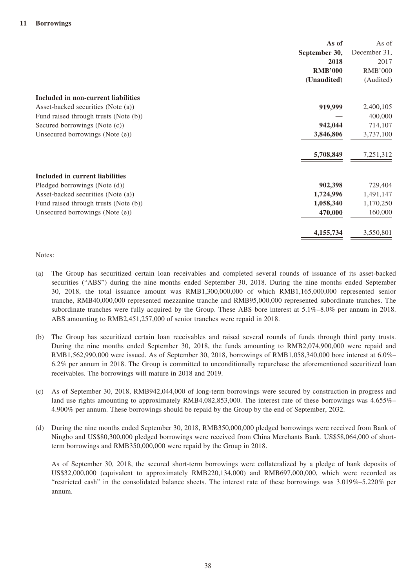| As of                                              | As of          |
|----------------------------------------------------|----------------|
| September 30,                                      | December 31,   |
| 2018                                               | 2017           |
| <b>RMB'000</b>                                     | <b>RMB'000</b> |
| (Unaudited)                                        | (Audited)      |
| Included in non-current liabilities                |                |
| 919,999<br>Asset-backed securities (Note (a))      | 2,400,105      |
| Fund raised through trusts (Note (b))              | 400,000        |
| 942,044<br>Secured borrowings (Note (c))           | 714,107        |
| Unsecured borrowings (Note (e))<br>3,846,806       | 3,737,100      |
| 5,708,849                                          | 7,251,312      |
| Included in current liabilities                    |                |
| Pledged borrowings (Note (d))<br>902,398           | 729,404        |
| Asset-backed securities (Note (a))<br>1,724,996    | 1,491,147      |
| 1,058,340<br>Fund raised through trusts (Note (b)) | 1,170,250      |
| 470,000<br>Unsecured borrowings (Note (e))         | 160,000        |
| 4,155,734                                          | 3,550,801      |

Notes:

- (a) The Group has securitized certain loan receivables and completed several rounds of issuance of its asset-backed securities ("ABS") during the nine months ended September 30, 2018. During the nine months ended September 30, 2018, the total issuance amount was RMB1,300,000,000 of which RMB1,165,000,000 represented senior tranche, RMB40,000,000 represented mezzanine tranche and RMB95,000,000 represented subordinate tranches. The subordinate tranches were fully acquired by the Group. These ABS bore interest at 5.1%–8.0% per annum in 2018. ABS amounting to RMB2,451,257,000 of senior tranches were repaid in 2018.
- (b) The Group has securitized certain loan receivables and raised several rounds of funds through third party trusts. During the nine months ended September 30, 2018, the funds amounting to RMB2,074,900,000 were repaid and RMB1,562,990,000 were issued. As of September 30, 2018, borrowings of RMB1,058,340,000 bore interest at 6.0%– 6.2% per annum in 2018. The Group is committed to unconditionally repurchase the aforementioned securitized loan receivables. The borrowings will mature in 2018 and 2019.
- (c) As of September 30, 2018, RMB942,044,000 of long-term borrowings were secured by construction in progress and land use rights amounting to approximately RMB4,082,853,000. The interest rate of these borrowings was 4.655%– 4.900% per annum. These borrowings should be repaid by the Group by the end of September, 2032.
- (d) During the nine months ended September 30, 2018, RMB350,000,000 pledged borrowings were received from Bank of Ningbo and US\$80,300,000 pledged borrowings were received from China Merchants Bank. US\$58,064,000 of shortterm borrowings and RMB350,000,000 were repaid by the Group in 2018.

As of September 30, 2018, the secured short-term borrowings were collateralized by a pledge of bank deposits of US\$32,000,000 (equivalent to approximately RMB220,134,000) and RMB697,000,000, which were recorded as "restricted cash" in the consolidated balance sheets. The interest rate of these borrowings was 3.019%–5.220% per annum.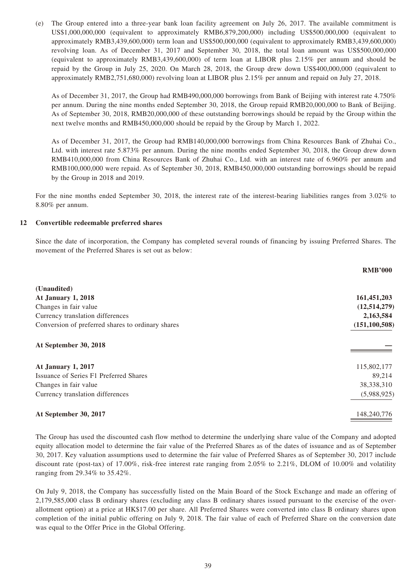(e) The Group entered into a three-year bank loan facility agreement on July 26, 2017. The available commitment is US\$1,000,000,000 (equivalent to approximately RMB6,879,200,000) including US\$500,000,000 (equivalent to approximately RMB3,439,600,000) term loan and US\$500,000,000 (equivalent to approximately RMB3,439,600,000) revolving loan. As of December 31, 2017 and September 30, 2018, the total loan amount was US\$500,000,000 (equivalent to approximately RMB3,439,600,000) of term loan at LIBOR plus 2.15% per annum and should be repaid by the Group in July 25, 2020. On March 28, 2018, the Group drew down US\$400,000,000 (equivalent to approximately RMB2,751,680,000) revolving loan at LIBOR plus 2.15% per annum and repaid on July 27, 2018.

As of December 31, 2017, the Group had RMB490,000,000 borrowings from Bank of Beijing with interest rate 4.750% per annum. During the nine months ended September 30, 2018, the Group repaid RMB20,000,000 to Bank of Beijing. As of September 30, 2018, RMB20,000,000 of these outstanding borrowings should be repaid by the Group within the next twelve months and RMB450,000,000 should be repaid by the Group by March 1, 2022.

As of December 31, 2017, the Group had RMB140,000,000 borrowings from China Resources Bank of Zhuhai Co., Ltd. with interest rate 5.873% per annum. During the nine months ended September 30, 2018, the Group drew down RMB410,000,000 from China Resources Bank of Zhuhai Co., Ltd. with an interest rate of 6.960% per annum and RMB100,000,000 were repaid. As of September 30, 2018, RMB450,000,000 outstanding borrowings should be repaid by the Group in 2018 and 2019.

For the nine months ended September 30, 2018, the interest rate of the interest-bearing liabilities ranges from 3.02% to 8.80% per annum.

#### **12 Convertible redeemable preferred shares**

Since the date of incorporation, the Company has completed several rounds of financing by issuing Preferred Shares. The movement of the Preferred Shares is set out as below:

|                                                   | <b>RMB'000</b>  |
|---------------------------------------------------|-----------------|
| (Unaudited)                                       |                 |
| <b>At January 1, 2018</b>                         | 161,451,203     |
| Changes in fair value                             | (12,514,279)    |
| Currency translation differences                  | 2,163,584       |
| Conversion of preferred shares to ordinary shares | (151, 100, 508) |
| At September 30, 2018                             |                 |
| At January 1, 2017                                | 115,802,177     |
| Issuance of Series F1 Preferred Shares            | 89,214          |
| Changes in fair value                             | 38,338,310      |
| Currency translation differences                  | (5,988,925)     |
| At September 30, 2017                             | 148,240,776     |

The Group has used the discounted cash flow method to determine the underlying share value of the Company and adopted equity allocation model to determine the fair value of the Preferred Shares as of the dates of issuance and as of September 30, 2017. Key valuation assumptions used to determine the fair value of Preferred Shares as of September 30, 2017 include discount rate (post-tax) of 17.00%, risk-free interest rate ranging from 2.05% to 2.21%, DLOM of 10.00% and volatility ranging from 29.34% to 35.42%.

On July 9, 2018, the Company has successfully listed on the Main Board of the Stock Exchange and made an offering of 2,179,585,000 class B ordinary shares (excluding any class B ordinary shares issued pursuant to the exercise of the overallotment option) at a price at HK\$17.00 per share. All Preferred Shares were converted into class B ordinary shares upon completion of the initial public offering on July 9, 2018. The fair value of each of Preferred Share on the conversion date was equal to the Offer Price in the Global Offering.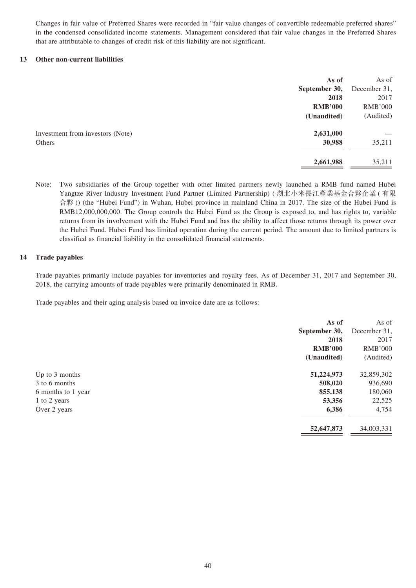Changes in fair value of Preferred Shares were recorded in "fair value changes of convertible redeemable preferred shares" in the condensed consolidated income statements. Management considered that fair value changes in the Preferred Shares that are attributable to changes of credit risk of this liability are not significant.

#### **13 Other non-current liabilities**

|                                  | As of          | As of          |
|----------------------------------|----------------|----------------|
|                                  | September 30,  | December 31,   |
|                                  | 2018           | 2017           |
|                                  | <b>RMB'000</b> | <b>RMB'000</b> |
|                                  | (Unaudited)    | (Audited)      |
| Investment from investors (Note) | 2,631,000      |                |
| Others                           | 30,988         | 35,211         |
|                                  | 2,661,988      | 35,211         |

Note: Two subsidiaries of the Group together with other limited partners newly launched a RMB fund named Hubei Yangtze River Industry Investment Fund Partner (Limited Partnership) ( 湖北小米長江產業基金合夥企業 ( 有限 合夥 )) (the "Hubei Fund") in Wuhan, Hubei province in mainland China in 2017. The size of the Hubei Fund is RMB12,000,000,000. The Group controls the Hubei Fund as the Group is exposed to, and has rights to, variable returns from its involvement with the Hubei Fund and has the ability to affect those returns through its power over the Hubei Fund. Hubei Fund has limited operation during the current period. The amount due to limited partners is classified as financial liability in the consolidated financial statements.

#### **14 Trade payables**

Trade payables primarily include payables for inventories and royalty fees. As of December 31, 2017 and September 30, 2018, the carrying amounts of trade payables were primarily denominated in RMB.

Trade payables and their aging analysis based on invoice date are as follows:

|                    | As of          | As of          |
|--------------------|----------------|----------------|
|                    | September 30,  | December 31,   |
|                    | 2018           | 2017           |
|                    | <b>RMB'000</b> | <b>RMB'000</b> |
|                    | (Unaudited)    | (Audited)      |
| Up to 3 months     | 51,224,973     | 32,859,302     |
| 3 to 6 months      | 508,020        | 936,690        |
| 6 months to 1 year | 855,138        | 180,060        |
| 1 to 2 years       | 53,356         | 22,525         |
| Over 2 years       | 6,386          | 4,754          |
|                    | 52,647,873     | 34,003,331     |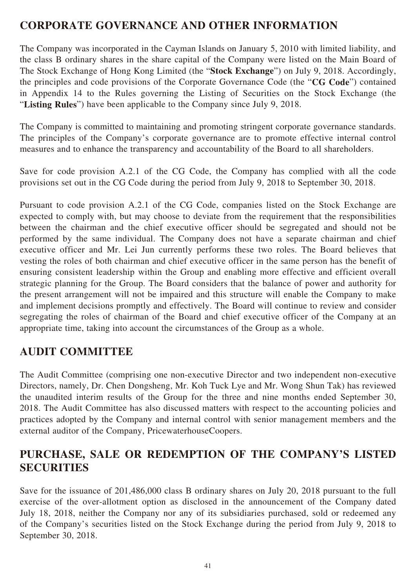# **CORPORATE GOVERNANCE AND OTHER INFORMATION**

The Company was incorporated in the Cayman Islands on January 5, 2010 with limited liability, and the class B ordinary shares in the share capital of the Company were listed on the Main Board of The Stock Exchange of Hong Kong Limited (the "**Stock Exchange**") on July 9, 2018. Accordingly, the principles and code provisions of the Corporate Governance Code (the "**CG Code**") contained in Appendix 14 to the Rules governing the Listing of Securities on the Stock Exchange (the "**Listing Rules**") have been applicable to the Company since July 9, 2018.

The Company is committed to maintaining and promoting stringent corporate governance standards. The principles of the Company's corporate governance are to promote effective internal control measures and to enhance the transparency and accountability of the Board to all shareholders.

Save for code provision A.2.1 of the CG Code, the Company has complied with all the code provisions set out in the CG Code during the period from July 9, 2018 to September 30, 2018.

Pursuant to code provision A.2.1 of the CG Code, companies listed on the Stock Exchange are expected to comply with, but may choose to deviate from the requirement that the responsibilities between the chairman and the chief executive officer should be segregated and should not be performed by the same individual. The Company does not have a separate chairman and chief executive officer and Mr. Lei Jun currently performs these two roles. The Board believes that vesting the roles of both chairman and chief executive officer in the same person has the benefit of ensuring consistent leadership within the Group and enabling more effective and efficient overall strategic planning for the Group. The Board considers that the balance of power and authority for the present arrangement will not be impaired and this structure will enable the Company to make and implement decisions promptly and effectively. The Board will continue to review and consider segregating the roles of chairman of the Board and chief executive officer of the Company at an appropriate time, taking into account the circumstances of the Group as a whole.

# **AUDIT COMMITTEE**

The Audit Committee (comprising one non-executive Director and two independent non-executive Directors, namely, Dr. Chen Dongsheng, Mr. Koh Tuck Lye and Mr. Wong Shun Tak) has reviewed the unaudited interim results of the Group for the three and nine months ended September 30, 2018. The Audit Committee has also discussed matters with respect to the accounting policies and practices adopted by the Company and internal control with senior management members and the external auditor of the Company, PricewaterhouseCoopers.

# **PURCHASE, SALE OR REDEMPTION OF THE COMPANY'S LISTED SECURITIES**

Save for the issuance of 201,486,000 class B ordinary shares on July 20, 2018 pursuant to the full exercise of the over-allotment option as disclosed in the announcement of the Company dated July 18, 2018, neither the Company nor any of its subsidiaries purchased, sold or redeemed any of the Company's securities listed on the Stock Exchange during the period from July 9, 2018 to September 30, 2018.